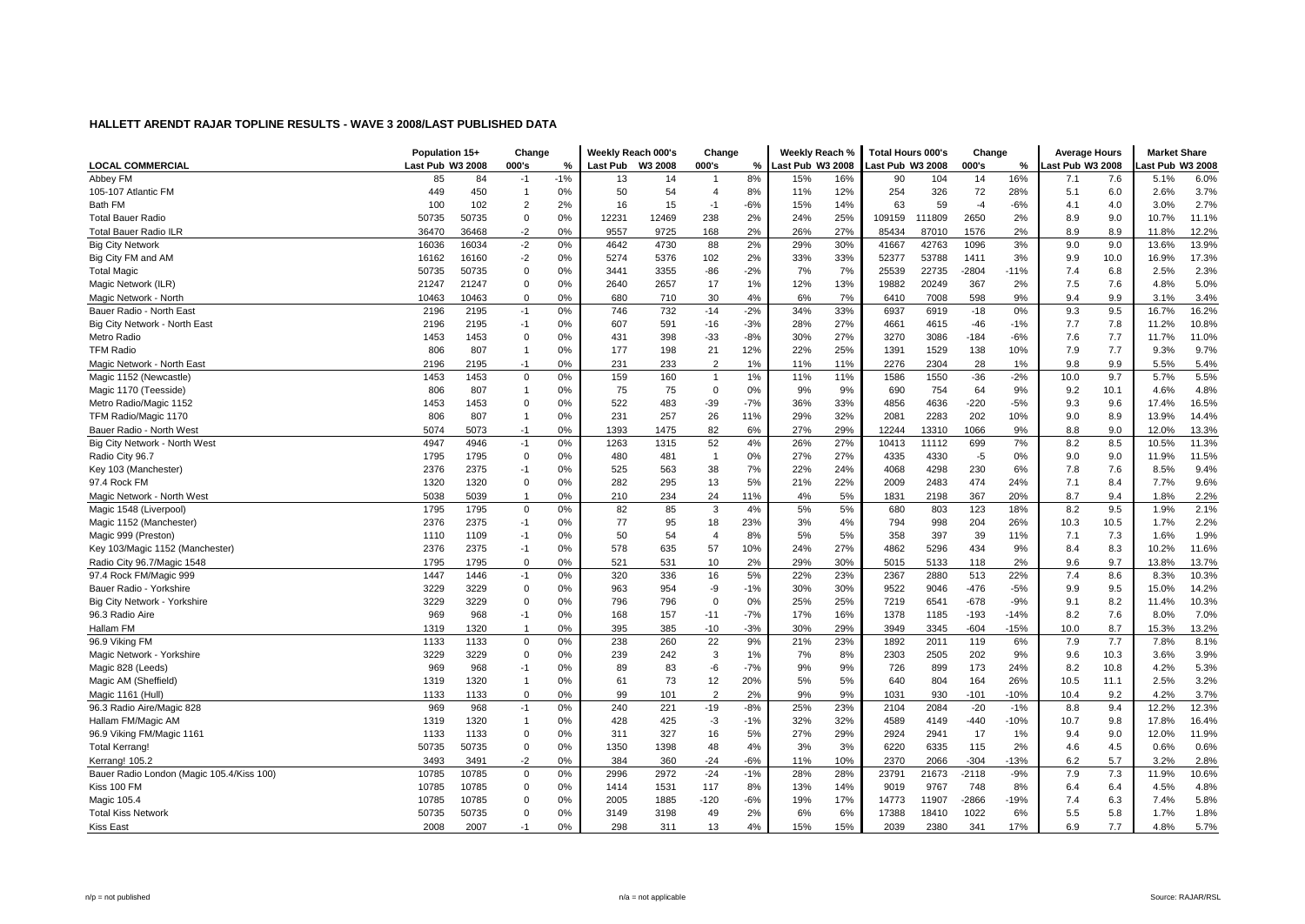|                                           | Population 15+   |       | Change         |       | Weekly Reach 000's |         | Change         |       | Weekly Reach %   |     | <b>Total Hours 000's</b> |        | Change  |        | <b>Average Hours</b> |      | <b>Market Share</b> |       |
|-------------------------------------------|------------------|-------|----------------|-------|--------------------|---------|----------------|-------|------------------|-----|--------------------------|--------|---------|--------|----------------------|------|---------------------|-------|
| <b>LOCAL COMMERCIAL</b>                   | Last Pub W3 2008 |       | 000's          | %     | <b>Last Pub</b>    | W3 2008 | 000's          | %     | Last Pub W3 2008 |     | Last Pub W3 2008         |        | 000's   | %      | ast Pub W3 2008      |      | ast Pub W3 2008     |       |
| Abbey FM                                  | 85               | 84    | $-1$           | $-1%$ | 13                 | 14      | -1             | 8%    | 15%              | 16% | 90                       | 104    | 14      | 16%    | 7.1                  | 7.6  | 5.1%                | 6.0%  |
| 105-107 Atlantic FM                       | 449              | 450   | $\mathbf{1}$   | 0%    | 50                 | 54      | $\overline{4}$ | 8%    | 11%              | 12% | 254                      | 326    | 72      | 28%    | 5.1                  | 6.0  | 2.6%                | 3.7%  |
| Bath FM                                   | 100              | 102   | $\overline{2}$ | 2%    | 16                 | 15      | $-1$           | $-6%$ | 15%              | 14% | 63                       | 59     | $-4$    | $-6%$  | 4.1                  | 4.0  | 3.0%                | 2.7%  |
| <b>Total Bauer Radio</b>                  | 50735            | 50735 | $\Omega$       | 0%    | 12231              | 12469   | 238            | 2%    | 24%              | 25% | 109159                   | 111809 | 2650    | 2%     | 8.9                  | 9.0  | 10.7%               | 11.1% |
| <b>Total Bauer Radio ILR</b>              | 36470            | 36468 | $-2$           | 0%    | 9557               | 9725    | 168            | 2%    | 26%              | 27% | 85434                    | 87010  | 1576    | 2%     | 8.9                  | 8.9  | 11.8%               | 12.2% |
| <b>Big City Network</b>                   | 16036            | 16034 | $-2$           | 0%    | 4642               | 4730    | 88             | 2%    | 29%              | 30% | 41667                    | 42763  | 1096    | 3%     | 9.0                  | 9.0  | 13.6%               | 13.9% |
| Big City FM and AM                        | 16162            | 16160 | $-2$           | 0%    | 5274               | 5376    | 102            | 2%    | 33%              | 33% | 52377                    | 53788  | 1411    | 3%     | 9.9                  | 10.0 | 16.9%               | 17.3% |
| <b>Total Magic</b>                        | 50735            | 50735 | $\mathbf 0$    | 0%    | 3441               | 3355    | $-86$          | $-2%$ | 7%               | 7%  | 25539                    | 22735  | $-2804$ | $-11%$ | 7.4                  | 6.8  | 2.5%                | 2.3%  |
| Magic Network (ILR)                       | 21247            | 21247 | 0              | 0%    | 2640               | 2657    | 17             | 1%    | 12%              | 13% | 19882                    | 20249  | 367     | 2%     | 7.5                  | 7.6  | 4.8%                | 5.0%  |
| Magic Network - North                     | 10463            | 10463 | $\Omega$       | 0%    | 680                | 710     | 30             | 4%    | 6%               | 7%  | 6410                     | 7008   | 598     | 9%     | 9.4                  | 9.9  | 3.1%                | 3.4%  |
| Bauer Radio - North East                  | 2196             | 2195  | $-1$           | 0%    | 746                | 732     | $-14$          | $-2%$ | 34%              | 33% | 6937                     | 6919   | $-18$   | 0%     | 9.3                  | 9.5  | 16.7%               | 16.2% |
| Big City Network - North East             | 2196             | 2195  | $-1$           | 0%    | 607                | 591     | $-16$          | $-3%$ | 28%              | 27% | 4661                     | 4615   | $-46$   | $-1%$  | 7.7                  | 7.8  | 11.2%               | 10.8% |
| Metro Radio                               | 1453             | 1453  | 0              | 0%    | 431                | 398     | $-33$          | $-8%$ | 30%              | 27% | 3270                     | 3086   | $-184$  | $-6%$  | 7.6                  | 7.7  | 11.7%               | 11.0% |
| <b>TFM Radio</b>                          | 806              | 807   | -1             | 0%    | 177                | 198     | 21             | 12%   | 22%              | 25% | 1391                     | 1529   | 138     | 10%    | 7.9                  | 7.7  | 9.3%                | 9.7%  |
| Magic Network - North East                | 2196             | 2195  | $-1$           | 0%    | 231                | 233     | $\overline{2}$ | 1%    | 11%              | 11% | 2276                     | 2304   | 28      | 1%     | 9.8                  | 9.9  | 5.5%                | 5.4%  |
| Magic 1152 (Newcastle)                    | 1453             | 1453  | $\mathbf 0$    | 0%    | 159                | 160     | $\overline{1}$ | 1%    | 11%              | 11% | 1586                     | 1550   | $-36$   | $-2%$  | 10.0                 | 9.7  | 5.7%                | 5.5%  |
| Magic 1170 (Teesside)                     | 806              | 807   | $\mathbf{1}$   | 0%    | 75                 | 75      | 0              | 0%    | 9%               | 9%  | 690                      | 754    | 64      | 9%     | 9.2                  | 10.1 | 4.6%                | 4.8%  |
| Metro Radio/Magic 1152                    | 1453             | 1453  | $\mathbf 0$    | 0%    | 522                | 483     | $-39$          | $-7%$ | 36%              | 33% | 4856                     | 4636   | $-220$  | $-5%$  | 9.3                  | 9.6  | 17.4%               | 16.5% |
| TFM Radio/Magic 1170                      | 806              | 807   | $\mathbf{1}$   | 0%    | 231                | 257     | 26             | 11%   | 29%              | 32% | 2081                     | 2283   | 202     | 10%    | 9.0                  | 8.9  | 13.9%               | 14.4% |
| Bauer Radio - North Wes                   | 5074             | 5073  | $-1$           | 0%    | 1393               | 1475    | 82             | 6%    | 27%              | 29% | 12244                    | 13310  | 1066    | 9%     | 8.8                  | 9.0  | 12.0%               | 13.3% |
| Big City Network - North West             | 4947             | 4946  | $-1$           | 0%    | 1263               | 1315    | 52             | 4%    | 26%              | 27% | 10413                    | 11112  | 699     | 7%     | 8.2                  | 8.5  | 10.5%               | 11.3% |
| Radio City 96.7                           | 1795             | 1795  | $\mathbf 0$    | 0%    | 480                | 481     | $\overline{1}$ | 0%    | 27%              | 27% | 4335                     | 4330   | $-5$    | 0%     | 9.0                  | 9.0  | 11.9%               | 11.5% |
| Key 103 (Manchester)                      | 2376             | 2375  | $-1$           | 0%    | 525                | 563     | 38             | 7%    | 22%              | 24% | 4068                     | 4298   | 230     | 6%     | 7.8                  | 7.6  | 8.5%                | 9.4%  |
| 97.4 Rock FM                              | 1320             | 1320  | 0              | 0%    | 282                | 295     | 13             | 5%    | 21%              | 22% | 2009                     | 2483   | 474     | 24%    | 7.1                  | 8.4  | 7.7%                | 9.6%  |
| Magic Network - North West                | 5038             | 5039  | $\mathbf{1}$   | 0%    | 210                | 234     | 24             | 11%   | 4%               | 5%  | 1831                     | 2198   | 367     | 20%    | 8.7                  | 9.4  | 1.8%                | 2.2%  |
| Magic 1548 (Liverpool)                    | 1795             | 1795  | $\Omega$       | 0%    | 82                 | 85      | 3              | 4%    | 5%               | 5%  | 680                      | 803    | 123     | 18%    | 8.2                  | 9.5  | 1.9%                | 2.1%  |
| Magic 1152 (Manchester)                   | 2376             | 2375  | $-1$           | 0%    | 77                 | 95      | 18             | 23%   | 3%               | 4%  | 794                      | 998    | 204     | 26%    | 10.3                 | 10.5 | 1.7%                | 2.2%  |
| Magic 999 (Preston)                       | 1110             | 1109  | $-1$           | 0%    | 50                 | 54      | $\overline{4}$ | 8%    | 5%               | 5%  | 358                      | 397    | 39      | 11%    | 7.1                  | 7.3  | 1.6%                | 1.9%  |
| Key 103/Magic 1152 (Manchester)           | 2376             | 2375  | $-1$           | 0%    | 578                | 635     | 57             | 10%   | 24%              | 27% | 4862                     | 5296   | 434     | 9%     | 8.4                  | 8.3  | 10.2%               | 11.6% |
| Radio City 96.7/Magic 1548                | 1795             | 1795  | $\Omega$       | 0%    | 521                | 531     | 10             | 2%    | 29%              | 30% | 5015                     | 5133   | 118     | 2%     | 9.6                  | 9.7  | 13.8%               | 13.7% |
| 97.4 Rock FM/Magic 999                    | 1447             | 1446  | $-1$           | 0%    | 320                | 336     | 16             | 5%    | 22%              | 23% | 2367                     | 2880   | 513     | 22%    | 7.4                  | 8.6  | 8.3%                | 10.3% |
| Bauer Radio - Yorkshire                   | 3229             | 3229  | $\mathbf 0$    | 0%    | 963                | 954     | -9             | $-1%$ | 30%              | 30% | 9522                     | 9046   | $-476$  | $-5%$  | 9.9                  | 9.5  | 15.0%               | 14.2% |
| Big City Network - Yorkshire              | 3229             | 3229  | $\mathbf 0$    | 0%    | 796                | 796     | $\mathbf 0$    | 0%    | 25%              | 25% | 7219                     | 6541   | $-678$  | $-9%$  | 9.1                  | 8.2  | 11.4%               | 10.3% |
| 96.3 Radio Aire                           | 969              | 968   | $-1$           | 0%    | 168                | 157     | $-11$          | $-7%$ | 17%              | 16% | 1378                     | 1185   | $-193$  | $-14%$ | 8.2                  | 7.6  | 8.0%                | 7.0%  |
| Hallam FM                                 | 1319             | 1320  | -1             | 0%    | 395                | 385     | $-10$          | $-3%$ | 30%              | 29% | 3949                     | 3345   | $-604$  | $-15%$ | 10.0                 | 8.7  | 15.3%               | 13.2% |
| 96.9 Viking FM                            | 1133             | 1133  | $\Omega$       | 0%    | 238                | 260     | 22             | 9%    | 21%              | 23% | 1892                     | 2011   | 119     | 6%     | 7.9                  | 7.7  | 7.8%                | 8.1%  |
| Magic Network - Yorkshire                 | 3229             | 3229  | $\Omega$       | 0%    | 239                | 242     | 3              | 1%    | 7%               | 8%  | 2303                     | 2505   | 202     | 9%     | 9.6                  | 10.3 | 3.6%                | 3.9%  |
| Magic 828 (Leeds)                         | 969              | 968   | $-1$           | 0%    | 89                 | 83      | -6             | $-7%$ | 9%               | 9%  | 726                      | 899    | 173     | 24%    | 8.2                  | 10.8 | 4.2%                | 5.3%  |
| Magic AM (Sheffield)                      | 1319             | 1320  | 1              | 0%    | 61                 | 73      | 12             | 20%   | 5%               | 5%  | 640                      | 804    | 164     | 26%    | 10.5                 | 11.1 | 2.5%                | 3.2%  |
| Magic 1161 (Hull)                         | 1133             | 1133  | $\Omega$       | 0%    | 99                 | 101     | 2              | 2%    | 9%               | 9%  | 1031                     | 930    | $-101$  | $-10%$ | 10.4                 | 9.2  | 4.2%                | 3.7%  |
| 96.3 Radio Aire/Magic 828                 | 969              | 968   | $-1$           | 0%    | 240                | 221     | $-19$          | $-8%$ | 25%              | 23% | 2104                     | 2084   | $-20$   | $-1%$  | 8.8                  | 9.4  | 12.2%               | 12.3% |
| Hallam FM/Magic AM                        | 1319             | 1320  | $\mathbf{1}$   | 0%    | 428                | 425     | $-3$           | $-1%$ | 32%              | 32% | 4589                     | 4149   | -440    | $-10%$ | 10.7                 | 9.8  | 17.8%               | 16.4% |
| 96.9 Viking FM/Magic 1161                 | 1133             | 1133  | $\mathbf 0$    | 0%    | 311                | 327     | 16             | 5%    | 27%              | 29% | 2924                     | 2941   | 17      | 1%     | 9.4                  | 9.0  | 12.0%               | 11.9% |
| <b>Total Kerrang!</b>                     | 50735            | 50735 | $\mathbf 0$    | 0%    | 1350               | 1398    | 48             | 4%    | 3%               | 3%  | 6220                     | 6335   | 115     | 2%     | 4.6                  | 4.5  | 0.6%                | 0.6%  |
| Kerrang! 105.2                            | 3493             | 3491  | $-2$           | 0%    | 384                | 360     | $-24$          | $-6%$ | 11%              | 10% | 2370                     | 2066   | $-304$  | $-13%$ | 6.2                  | 5.7  | 3.2%                | 2.8%  |
| Bauer Radio London (Magic 105.4/Kiss 100) | 10785            | 10785 | $\mathbf 0$    | 0%    | 2996               | 2972    | $-24$          | $-1%$ | 28%              | 28% | 23791                    | 21673  | $-2118$ | $-9%$  | 7.9                  | 7.3  | 11.9%               | 10.6% |
| Kiss 100 FM                               | 10785            | 10785 | $\mathbf 0$    | 0%    | 1414               | 1531    | 117            | 8%    | 13%              | 14% | 9019                     | 9767   | 748     | 8%     | 6.4                  | 6.4  | 4.5%                | 4.8%  |
| Magic 105.4                               | 10785            | 10785 | $\Omega$       | 0%    | 2005               | 1885    | $-120$         | $-6%$ | 19%              | 17% | 14773                    | 11907  | -2866   | $-19%$ | 7.4                  | 6.3  | 7.4%                | 5.8%  |
| <b>Total Kiss Network</b>                 | 50735            | 50735 | $\Omega$       | 0%    | 3149               | 3198    | 49             | 2%    | 6%               | 6%  | 17388                    | 18410  | 1022    | 6%     | 5.5                  | 5.8  | 1.7%                | 1.8%  |
| <b>Kiss East</b>                          | 2008             | 2007  | $-1$           | 0%    | 298                | 311     | 13             | 4%    | 15%              | 15% | 2039                     | 2380   | 341     | 17%    | 6.9                  | 7.7  | 4.8%                | 5.7%  |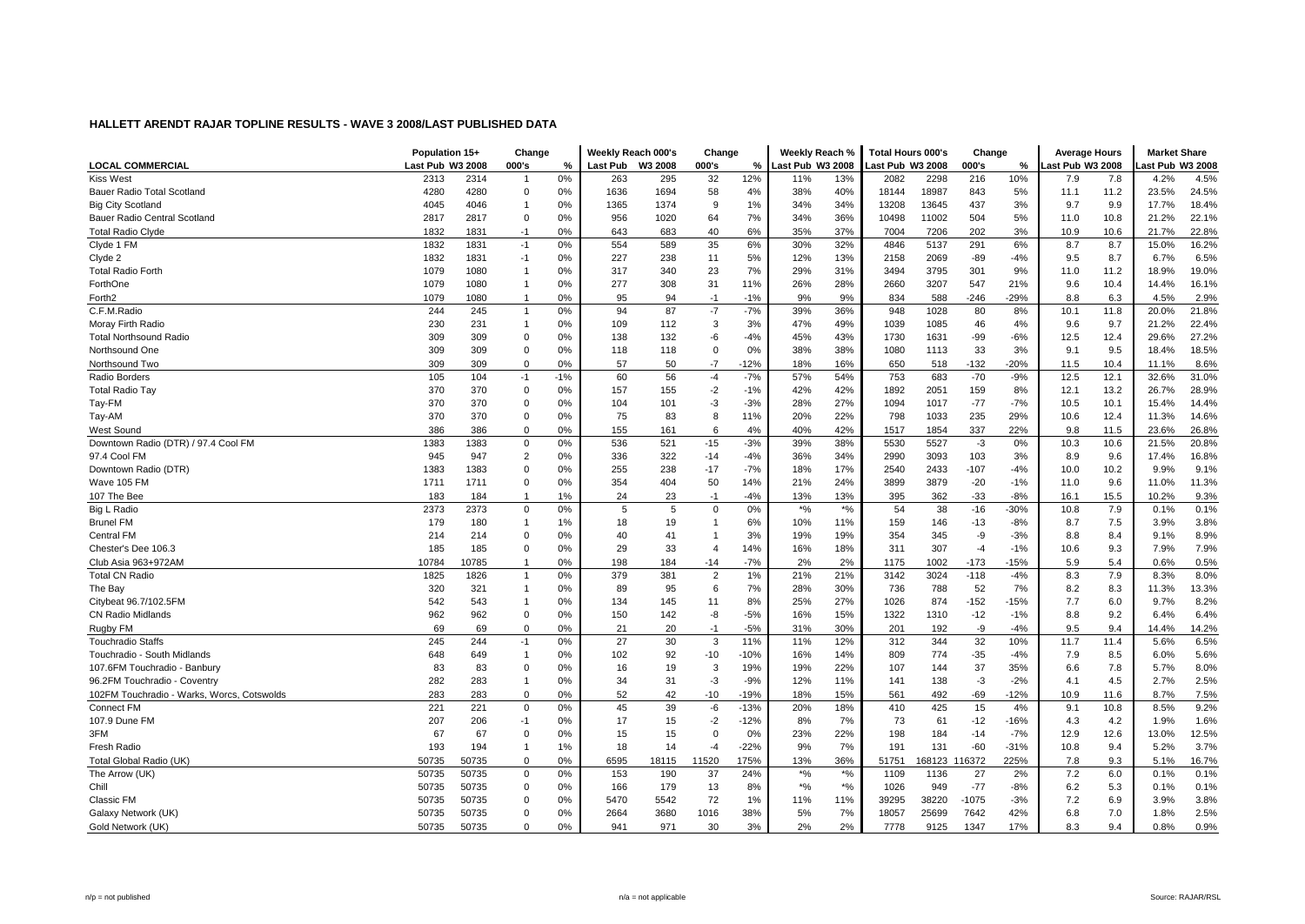|                                            | Population 15+   |       | Change         |       | Weekly Reach 000's |         | Change         |        | Weekly Reach %     |       | <b>Total Hours 000's</b> |        | Change  |        | <b>Average Hours</b> |      | <b>Market Share</b> |       |
|--------------------------------------------|------------------|-------|----------------|-------|--------------------|---------|----------------|--------|--------------------|-------|--------------------------|--------|---------|--------|----------------------|------|---------------------|-------|
| <b>LOCAL COMMERCIAL</b>                    | Last Pub W3 2008 |       | 000's          | %     | <b>Last Pub</b>    | W3 2008 | 000's          | %      | Last Pub W3 2008   |       | Last Pub W3 2008         |        | 000's   | %      | ast Pub W3 2008      |      | ast Pub W3 2008     |       |
| <b>Kiss West</b>                           | 2313             | 2314  | -1             | 0%    | 263                | 295     | 32             | 12%    | 11%                | 13%   | 2082                     | 2298   | 216     | 10%    | 7.9                  | 7.8  | 4.2%                | 4.5%  |
| Bauer Radio Total Scotland                 | 4280             | 4280  | 0              | 0%    | 1636               | 1694    | 58             | 4%     | 38%                | 40%   | 18144                    | 18987  | 843     | 5%     | 11.1                 | 11.2 | 23.5%               | 24.5% |
| <b>Big City Scotland</b>                   | 4045             | 4046  | $\mathbf{1}$   | 0%    | 1365               | 1374    | 9              | 1%     | 34%                | 34%   | 13208                    | 13645  | 437     | 3%     | 9.7                  | 9.9  | 17.7%               | 18.4% |
| Bauer Radio Central Scotland               | 2817             | 2817  | $\Omega$       | 0%    | 956                | 1020    | 64             | 7%     | 34%                | 36%   | 10498                    | 11002  | 504     | 5%     | 11.0                 | 10.8 | 21.2%               | 22.1% |
| <b>Total Radio Clyde</b>                   | 1832             | 1831  | $-1$           | 0%    | 643                | 683     | 40             | 6%     | 35%                | 37%   | 7004                     | 7206   | 202     | 3%     | 10.9                 | 10.6 | 21.7%               | 22.8% |
| Clyde 1 FM                                 | 1832             | 1831  | $-1$           | 0%    | 554                | 589     | 35             | 6%     | 30%                | 32%   | 4846                     | 5137   | 291     | 6%     | 8.7                  | 8.7  | 15.0%               | 16.2% |
| Clyde 2                                    | 1832             | 1831  | $-1$           | 0%    | 227                | 238     | 11             | 5%     | 12%                | 13%   | 2158                     | 2069   | -89     | $-4%$  | 9.5                  | 8.7  | 6.7%                | 6.5%  |
| <b>Total Radio Forth</b>                   | 1079             | 1080  | 1              | 0%    | 317                | 340     | 23             | 7%     | 29%                | 31%   | 3494                     | 3795   | 301     | 9%     | 11.0                 | 11.2 | 18.9%               | 19.0% |
| ForthOne                                   | 1079             | 1080  | 1              | 0%    | 277                | 308     | 31             | 11%    | 26%                | 28%   | 2660                     | 3207   | 547     | 21%    | 9.6                  | 10.4 | 14.4%               | 16.1% |
| Forth <sub>2</sub>                         | 1079             | 1080  | $\mathbf{1}$   | 0%    | 95                 | 94      | $-1$           | $-1%$  | 9%                 | 9%    | 834                      | 588    | $-246$  | $-29%$ | 8.8                  | 6.3  | 4.5%                | 2.9%  |
| C.F.M.Radio                                | 244              | 245   | $\mathbf{1}$   | 0%    | 94                 | 87      | $-7$           | $-7%$  | 39%                | 36%   | 948                      | 1028   | 80      | 8%     | 10.1                 | 11.8 | 20.0%               | 21.8% |
| Moray Firth Radio                          | 230              | 231   | $\mathbf{1}$   | 0%    | 109                | 112     | 3              | 3%     | 47%                | 49%   | 1039                     | 1085   | 46      | 4%     | 9.6                  | 9.7  | 21.2%               | 22.4% |
| <b>Total Northsound Radio</b>              | 309              | 309   | 0              | 0%    | 138                | 132     | -6             | $-4%$  | 45%                | 43%   | 1730                     | 1631   | $-99$   | $-6%$  | 12.5                 | 12.4 | 29.6%               | 27.2% |
| Northsound One                             | 309              | 309   | $\Omega$       | 0%    | 118                | 118     | $\mathbf 0$    | 0%     | 38%                | 38%   | 1080                     | 1113   | 33      | 3%     | 9.1                  | 9.5  | 18.4%               | 18.5% |
| Northsound Two                             | 309              | 309   | $\Omega$       | 0%    | 57                 | 50      | $-7$           | $-12%$ | 18%                | 16%   | 650                      | 518    | $-132$  | $-20%$ | 11.5                 | 10.4 | 11.1%               | 8.6%  |
| Radio Borders                              | 105              | 104   | $-1$           | $-1%$ | 60                 | 56      | $-4$           | $-7%$  | 57%                | 54%   | 753                      | 683    | $-70$   | $-9%$  | 12.5                 | 12.1 | 32.6%               | 31.0% |
| Total Radio Tay                            | 370              | 370   | $\mathbf 0$    | 0%    | 157                | 155     | $-2$           | $-1%$  | 42%                | 42%   | 1892                     | 2051   | 159     | 8%     | 12.1                 | 13.2 | 26.7%               | 28.9% |
| Tay-FM                                     | 370              | 370   | $\mathbf 0$    | 0%    | 104                | 101     | -3             | $-3%$  | 28%                | 27%   | 1094                     | 1017   | $-77$   | $-7%$  | 10.5                 | 10.1 | 15.4%               | 14.4% |
| Tay-AM                                     | 370              | 370   | $\mathbf 0$    | 0%    | 75                 | 83      | 8              | 11%    | 20%                | 22%   | 798                      | 1033   | 235     | 29%    | 10.6                 | 12.4 | 11.3%               | 14.6% |
| West Sound                                 | 386              | 386   | $\Omega$       | 0%    | 155                | 161     | 6              | 4%     | 40%                | 42%   | 1517                     | 1854   | 337     | 22%    | 9.8                  | 11.5 | 23.6%               | 26.8% |
| Downtown Radio (DTR) / 97.4 Cool FM        | 1383             | 1383  | $\mathbf 0$    | 0%    | 536                | 521     | $-15$          | $-3%$  | 39%                | 38%   | 5530                     | 5527   | $-3$    | 0%     | 10.3                 | 10.6 | 21.5%               | 20.8% |
| 97.4 Cool FM                               | 945              | 947   | $\overline{2}$ | 0%    | 336                | 322     | $-14$          | $-4%$  | 36%                | 34%   | 2990                     | 3093   | 103     | 3%     | 8.9                  | 9.6  | 17.4%               | 16.8% |
| Downtown Radio (DTR)                       | 1383             | 1383  | $\mathbf 0$    | 0%    | 255                | 238     | $-17$          | $-7%$  | 18%                | 17%   | 2540                     | 2433   | $-107$  | $-4%$  | 10.0                 | 10.2 | 9.9%                | 9.1%  |
| Wave 105 FM                                | 1711             | 1711  | 0              | 0%    | 354                | 404     | 50             | 14%    | 21%                | 24%   | 3899                     | 3879   | $-20$   | $-1%$  | 11.0                 | 9.6  | 11.0%               | 11.3% |
| 107 The Bee                                | 183              | 184   |                | 1%    | 24                 | 23      | $-1$           | $-4%$  | 13%                | 13%   | 395                      | 362    | $-33$   | $-8%$  | 16.1                 | 15.5 | 10.2%               | 9.3%  |
| Big L Radio                                | 2373             | 2373  | $\Omega$       | 0%    | 5                  | 5       | $\mathbf 0$    | 0%     | $*$ %              | $*$ % | 54                       | 38     | $-16$   | $-30%$ | 10.8                 | 7.9  | 0.1%                | 0.1%  |
| <b>Brunel FM</b>                           | 179              | 180   | $\mathbf{1}$   | 1%    | 18                 | 19      | $\overline{1}$ | 6%     | 10%                | 11%   | 159                      | 146    | $-13$   | $-8%$  | 8.7                  | 7.5  | 3.9%                | 3.8%  |
| <b>Central FM</b>                          | 214              | 214   | $\mathbf 0$    | 0%    | 40                 | 41      | $\overline{1}$ | 3%     | 19%                | 19%   | 354                      | 345    | -9      | $-3%$  | 8.8                  | 8.4  | 9.1%                | 8.9%  |
| Chester's Dee 106.3                        | 185              | 185   | $\mathbf 0$    | 0%    | 29                 | 33      | $\overline{4}$ | 14%    | 16%                | 18%   | 311                      | 307    | $-4$    | $-1%$  | 10.6                 | 9.3  | 7.9%                | 7.9%  |
| Club Asia 963+972AM                        | 10784            | 10785 | $\mathbf{1}$   | 0%    | 198                | 184     | $-14$          | $-7%$  | 2%                 | 2%    | 1175                     | 1002   | $-173$  | -15%   | 5.9                  | 5.4  | 0.6%                | 0.5%  |
| <b>Total CN Radio</b>                      | 1825             | 1826  | $\mathbf{1}$   | 0%    | 379                | 381     | $\overline{2}$ | 1%     | 21%                | 21%   | 3142                     | 3024   | $-118$  | $-4%$  | 8.3                  | 7.9  | 8.3%                | 8.0%  |
| The Bay                                    | 320              | 321   | $\mathbf{1}$   | 0%    | 89                 | 95      | 6              | 7%     | 28%                | 30%   | 736                      | 788    | 52      | 7%     | 8.2                  | 8.3  | 11.3%               | 13.3% |
| Citybeat 96.7/102.5FM                      | 542              | 543   | $\mathbf{1}$   | 0%    | 134                | 145     | 11             | 8%     | 25%                | 27%   | 1026                     | 874    | $-152$  | $-15%$ | 7.7                  | 6.0  | 9.7%                | 8.2%  |
| <b>CN Radio Midlands</b>                   | 962              | 962   | $\mathbf 0$    | 0%    | 150                | 142     | -8             | $-5%$  | 16%                | 15%   | 1322                     | 1310   | $-12$   | $-1%$  | 8.8                  | 9.2  | 6.4%                | 6.4%  |
| Rugby FM                                   | 69               | 69    | $\Omega$       | 0%    | 21                 | 20      | $-1$           | $-5%$  | 31%                | 30%   | 201                      | 192    | -9      | $-4%$  | 9.5                  | 9.4  | 14.4%               | 14.2% |
| <b>Touchradio Staffs</b>                   | 245              | 244   | $-1$           | 0%    | 27                 | 30      | 3              | 11%    | 11%                | 12%   | 312                      | 344    | 32      | 10%    | 11.7                 | 11.4 | 5.6%                | 6.5%  |
| Touchradio - South Midlands                | 648              | 649   | $\mathbf{1}$   | 0%    | 102                | 92      | $-10$          | $-10%$ | 16%                | 14%   | 809                      | 774    | $-35$   | $-4%$  | 7.9                  | 8.5  | 6.0%                | 5.6%  |
| 107.6FM Touchradio - Banbury               | 83               | 83    | $\mathbf 0$    | 0%    | 16                 | 19      | 3              | 19%    | 19%                | 22%   | 107                      | 144    | 37      | 35%    | 6.6                  | 7.8  | 5.7%                | 8.0%  |
| 96.2FM Touchradio - Coventry               | 282              | 283   | 1              | 0%    | 34                 | 31      | $-3$           | $-9%$  | 12%                | 11%   | 141                      | 138    | $-3$    | $-2%$  | 4.1                  | 4.5  | 2.7%                | 2.5%  |
| 102FM Touchradio - Warks, Worcs, Cotswolds | 283              | 283   | $\Omega$       | 0%    | 52                 | 42      | $-10$          | $-19%$ | 18%                | 15%   | 561                      | 492    | $-69$   | $-12%$ | 10.9                 | 11.6 | 8.7%                | 7.5%  |
| Connect FM                                 | 221              | 221   | $\Omega$       | 0%    | 45                 | 39      | -6             | $-13%$ | 20%                | 18%   | 410                      | 425    | 15      | 4%     | 9.1                  | 10.8 | 8.5%                | 9.2%  |
| 107.9 Dune FM                              | 207              | 206   | $-1$           | 0%    | 17                 | 15      | $-2$           | $-12%$ | 8%                 | 7%    | 73                       | 61     | $-12$   | $-16%$ | 4.3                  | 4.2  | 1.9%                | 1.6%  |
| 3FM                                        | 67               | 67    | $\Omega$       | 0%    | 15                 | 15      | $\mathbf 0$    | 0%     | 23%                | 22%   | 198                      | 184    | $-14$   | $-7%$  | 12.9                 | 12.6 | 13.0%               | 12.5% |
| Fresh Radio                                | 193              | 194   | $\mathbf{1}$   | 1%    | 18                 | 14      | $-4$           | $-22%$ | 9%                 | 7%    | 191                      | 131    | $-60$   | $-31%$ | 10.8                 | 9.4  | 5.2%                | 3.7%  |
| Total Global Radio (UK)                    | 50735            | 50735 | $\mathbf 0$    | 0%    | 6595               | 18115   | 11520          | 175%   | 13%                | 36%   | 51751                    | 168123 | 16372   | 225%   | 7.8                  | 9.3  | 5.1%                | 16.7% |
| The Arrow (UK)                             | 50735            | 50735 | $\mathbf 0$    | 0%    | 153                | 190     | 37             | 24%    | $\boldsymbol{*}$ % | $*$ % | 1109                     | 1136   | 27      | 2%     | 7.2                  | 6.0  | 0.1%                | 0.1%  |
| Chill                                      | 50735            | 50735 | $\mathbf 0$    | 0%    | 166                | 179     | 13             | 8%     | $\boldsymbol{*}$ % | $*$ % | 1026                     | 949    | $-77$   | $-8%$  | 6.2                  | 5.3  | 0.1%                | 0.1%  |
| Classic FM                                 | 50735            | 50735 | $\Omega$       | 0%    | 5470               | 5542    | 72             | 1%     | 11%                | 11%   | 39295                    | 38220  | $-1075$ | $-3%$  | 7.2                  | 6.9  | 3.9%                | 3.8%  |
| Galaxy Network (UK)                        | 50735            | 50735 | $\Omega$       | 0%    | 2664               | 3680    | 1016           | 38%    | 5%                 | 7%    | 18057                    | 25699  | 7642    | 42%    | 6.8                  | 7.0  | 1.8%                | 2.5%  |
| Gold Network (UK)                          | 50735            | 50735 | $\Omega$       | 0%    | 941                | 971     | 30             | 3%     | 2%                 | 2%    | 7778                     | 9125   | 1347    | 17%    | 8.3                  | 9.4  | 0.8%                | 0.9%  |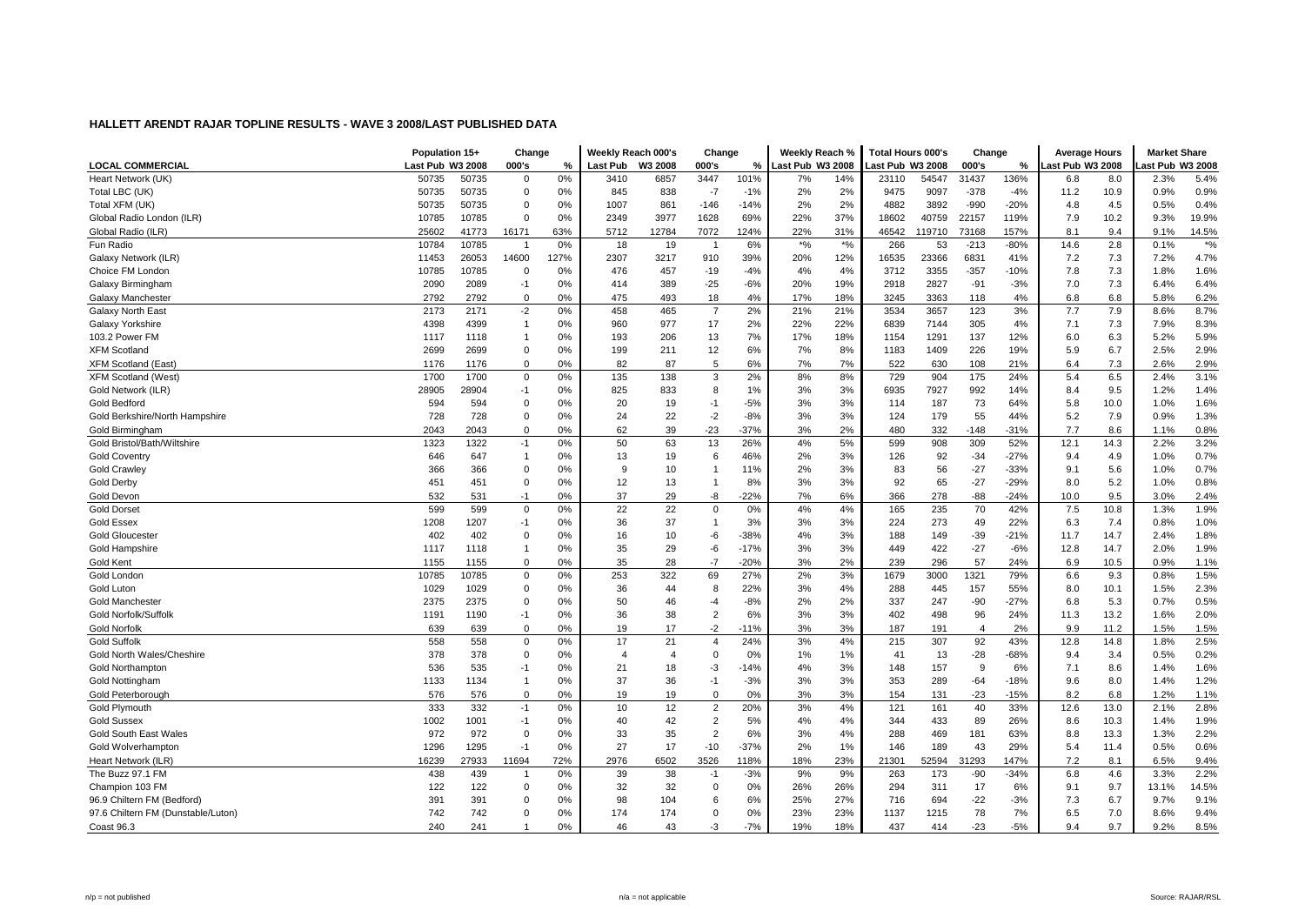|                                    | Population 15+   |       | Change                  |      | Weekly Reach 000's |                | Change                   |        | Weekly Reach %   |             | Total Hours 000's |        | Change                  |        | <b>Average Hours</b> |      | <b>Market Share</b> |       |
|------------------------------------|------------------|-------|-------------------------|------|--------------------|----------------|--------------------------|--------|------------------|-------------|-------------------|--------|-------------------------|--------|----------------------|------|---------------------|-------|
| <b>LOCAL COMMERCIAL</b>            | Last Pub W3 2008 |       | 000's                   | %    | Last Pub           | W3 2008        | 000's                    | %      | Last Pub W3 2008 |             | ast Pub W3 2008   |        | 000's                   | %      | ast Pub W3 2008.     |      | ast Pub W3 2008     |       |
| Heart Network (UK)                 | 50735            | 50735 | $\Omega$                | 0%   | 3410               | 6857           | 3447                     | 101%   | 7%               | 14%         | 23110             | 54547  | 31437                   | 136%   | 6.8                  | 8.0  | 2.3%                | 5.4%  |
| Total LBC (UK)                     | 50735            | 50735 | 0                       | 0%   | 845                | 838            | $-7$                     | $-1%$  | 2%               | 2%          | 9475              | 9097   | $-378$                  | $-4%$  | 11.2                 | 10.9 | 0.9%                | 0.9%  |
| Total XFM (UK)                     | 50735            | 50735 | 0                       | 0%   | 1007               | 861            | -146                     | $-14%$ | 2%               | 2%          | 4882              | 3892   | $-990$                  | $-20%$ | 4.8                  | 4.5  | 0.5%                | 0.4%  |
| Global Radio London (ILR)          | 10785            | 10785 | $\mathbf 0$             | 0%   | 2349               | 3977           | 1628                     | 69%    | 22%              | 37%         | 18602             | 40759  | 22157                   | 119%   | 7.9                  | 10.2 | 9.3%                | 19.9% |
| Global Radio (ILR)                 | 25602            | 41773 | 16171                   | 63%  | 5712               | 12784          | 7072                     | 124%   | 22%              | 31%         | 46542             | 119710 | 73168                   | 157%   | 8.1                  | 9.4  | 9.1%                | 14.5% |
| Fun Radio                          | 10784            | 10785 | $\overline{\mathbf{1}}$ | 0%   | 18                 | 19             | $\overline{\phantom{0}}$ | 6%     | $*$ %            | $\star o_0$ | 266               | 53     | $-213$                  | $-80%$ | 14.6                 | 2.8  | 0.1%                | $*$ % |
| Galaxy Network (ILR)               | 11453            | 26053 | 14600                   | 127% | 2307               | 3217           | 910                      | 39%    | 20%              | 12%         | 16535             | 23366  | 6831                    | 41%    | 7.2                  | 7.3  | 7.2%                | 4.7%  |
| Choice FM London                   | 10785            | 10785 | $\mathbf 0$             | 0%   | 476                | 457            | $-19$                    | $-4%$  | 4%               | 4%          | 3712              | 3355   | $-357$                  | $-10%$ | 7.8                  | 7.3  | 1.8%                | 1.6%  |
| Galaxy Birmingham                  | 2090             | 2089  | $-1$                    | 0%   | 414                | 389            | $-25$                    | $-6%$  | 20%              | 19%         | 2918              | 2827   | $-91$                   | $-3%$  | 7.0                  | 7.3  | 6.4%                | 6.4%  |
| Galaxy Manchester                  | 2792             | 2792  | $\mathbf 0$             | 0%   | 475                | 493            | 18                       | 4%     | 17%              | 18%         | 3245              | 3363   | 118                     | 4%     | 6.8                  | 6.8  | 5.8%                | 6.2%  |
| Galaxy North East                  | 2173             | 2171  | $-2$                    | 0%   | 458                | 465            | $\overline{7}$           | 2%     | 21%              | 21%         | 3534              | 3657   | 123                     | 3%     | 7.7                  | 7.9  | 8.6%                | 8.7%  |
| Galaxy Yorkshire                   | 4398             | 4399  | $\mathbf{1}$            | 0%   | 960                | 977            | 17                       | 2%     | 22%              | 22%         | 6839              | 7144   | 305                     | 4%     | 7.1                  | 7.3  | 7.9%                | 8.3%  |
| 103.2 Power FM                     | 1117             | 1118  | $\mathbf{1}$            | 0%   | 193                | 206            | 13                       | 7%     | 17%              | 18%         | 1154              | 1291   | 137                     | 12%    | 6.0                  | 6.3  | 5.2%                | 5.9%  |
| <b>XFM Scotland</b>                | 2699             | 2699  | $\Omega$                | 0%   | 199                | 211            | 12                       | 6%     | 7%               | 8%          | 1183              | 1409   | 226                     | 19%    | 5.9                  | 6.7  | 2.5%                | 2.9%  |
| <b>XFM Scotland (East</b>          | 1176             | 1176  | $\Omega$                | 0%   | 82                 | 87             | 5                        | 6%     | 7%               | 7%          | 522               | 630    | 108                     | 21%    | 6.4                  | 7.3  | 2.6%                | 2.9%  |
| <b>XFM Scotland (West)</b>         | 1700             | 1700  | $\mathbf 0$             | 0%   | 135                | 138            | 3                        | 2%     | 8%               | 8%          | 729               | 904    | 175                     | 24%    | 5.4                  | 6.5  | 2.4%                | 3.1%  |
| Gold Network (ILR)                 | 28905            | 28904 | $-1$                    | 0%   | 825                | 833            | 8                        | 1%     | 3%               | 3%          | 6935              | 7927   | 992                     | 14%    | 8.4                  | 9.5  | 1.2%                | 1.4%  |
| <b>Gold Bedford</b>                | 594              | 594   | $\Omega$                | 0%   | 20                 | 19             | $-1$                     | $-5%$  | 3%               | 3%          | 114               | 187    | 73                      | 64%    | 5.8                  | 10.0 | 1.0%                | 1.6%  |
| Gold Berkshire/North Hampshire     | 728              | 728   | $\mathbf 0$             | 0%   | 24                 | 22             | $-2$                     | $-8%$  | 3%               | 3%          | 124               | 179    | 55                      | 44%    | 5.2                  | 7.9  | 0.9%                | 1.3%  |
| Gold Birmingham                    | 2043             | 2043  | $\Omega$                | 0%   | 62                 | 39             | $-23$                    | $-37%$ | 3%               | 2%          | 480               | 332    | $-148$                  | $-31%$ | 7.7                  | 8.6  | 1.1%                | 0.8%  |
| Gold Bristol/Bath/Wiltshire        | 1323             | 1322  | $-1$                    | 0%   | 50                 | 63             | 13                       | 26%    | 4%               | 5%          | 599               | 908    | 309                     | 52%    | 12.1                 | 14.3 | 2.2%                | 3.2%  |
| <b>Gold Coventry</b>               | 646              | 647   | $\mathbf{1}$            | 0%   | 13                 | 19             | 6                        | 46%    | 2%               | 3%          | 126               | 92     | $-34$                   | $-27%$ | 9.4                  | 4.9  | 1.0%                | 0.7%  |
| <b>Gold Crawley</b>                | 366              | 366   | 0                       | 0%   | 9                  | 10             | $\overline{1}$           | 11%    | 2%               | 3%          | 83                | 56     | $-27$                   | $-33%$ | 9.1                  | 5.6  | 1.0%                | 0.7%  |
| <b>Gold Derby</b>                  | 451              | 451   | $\pmb{0}$               | 0%   | 12                 | 13             | 1                        | 8%     | 3%               | 3%          | 92                | 65     | $-27$                   | $-29%$ | 8.0                  | 5.2  | 1.0%                | 0.8%  |
| <b>Gold Devon</b>                  | 532              | 531   | $-1$                    | 0%   | 37                 | 29             | -8                       | $-22%$ | 7%               | 6%          | 366               | 278    | $-88$                   | $-24%$ | 10.0                 | 9.5  | 3.0%                | 2.4%  |
| <b>Gold Dorset</b>                 | 599              | 599   | $\Omega$                | 0%   | 22                 | 22             | $\mathbf 0$              | 0%     | 4%               | 4%          | 165               | 235    | 70                      | 42%    | 7.5                  | 10.8 | 1.3%                | 1.9%  |
| <b>Gold Essex</b>                  | 1208             | 1207  | $-1$                    | 0%   | 36                 | 37             | $\overline{1}$           | 3%     | 3%               | 3%          | 224               | 273    | 49                      | 22%    | 6.3                  | 7.4  | 0.8%                | 1.0%  |
| <b>Gold Gloucester</b>             | 402              | 402   | $\Omega$                | 0%   | 16                 | 10             | -6                       | $-38%$ | 4%               | 3%          | 188               | 149    | $-39$                   | $-21%$ | 11.7                 | 14.7 | 2.4%                | 1.8%  |
| Gold Hampshire                     | 1117             | 1118  | $\mathbf{1}$            | 0%   | 35                 | 29             | -6                       | $-17%$ | 3%               | 3%          | 449               | 422    | $-27$                   | $-6%$  | 12.8                 | 14.7 | 2.0%                | 1.9%  |
| Gold Kent                          | 1155             | 1155  | 0                       | 0%   | 35                 | 28             | $-7$                     | $-20%$ | 3%               | 2%          | 239               | 296    | 57                      | 24%    | 6.9                  | 10.5 | 0.9%                | 1.1%  |
| Gold London                        | 10785            | 10785 | $\Omega$                | 0%   | 253                | 322            | 69                       | 27%    | 2%               | 3%          | 1679              | 3000   | 1321                    | 79%    | 6.6                  | 9.3  | 0.8%                | 1.5%  |
| Gold Luton                         | 1029             | 1029  | $\mathbf 0$             | 0%   | 36                 | 44             | 8                        | 22%    | 3%               | 4%          | 288               | 445    | 157                     | 55%    | 8.0                  | 10.1 | 1.5%                | 2.3%  |
| <b>Gold Manchester</b>             | 2375             | 2375  | $\Omega$                | 0%   | 50                 | 46             | $-4$                     | $-8%$  | 2%               | 2%          | 337               | 247    | $-90$                   | $-27%$ | 6.8                  | 5.3  | 0.7%                | 0.5%  |
| Gold Norfolk/Suffolk               | 1191             | 1190  | $-1$                    | 0%   | 36                 | 38             | 2                        | 6%     | 3%               | 3%          | 402               | 498    | 96                      | 24%    | 11.3                 | 13.2 | 1.6%                | 2.0%  |
| <b>Gold Norfolk</b>                | 639              | 639   | $\Omega$                | 0%   | 19                 | 17             | $-2$                     | $-11%$ | 3%               | 3%          | 187               | 191    | $\overline{\mathbf{4}}$ | 2%     | 9.9                  | 11.2 | 1.5%                | 1.5%  |
| <b>Gold Suffolk</b>                | 558              | 558   | $\mathbf 0$             | 0%   | 17                 | 21             | $\overline{4}$           | 24%    | 3%               | 4%          | 215               | 307    | 92                      | 43%    | 12.8                 | 14.8 | 1.8%                | 2.5%  |
| Gold North Wales/Cheshire          | 378              | 378   | 0                       | 0%   | 4                  | $\overline{4}$ | 0                        | 0%     | 1%               | 1%          | 41                | 13     | $-28$                   | $-68%$ | 9.4                  | 3.4  | 0.5%                | 0.2%  |
| <b>Gold Northampton</b>            | 536              | 535   | $-1$                    | 0%   | 21                 | 18             | $-3$                     | $-14%$ | 4%               | 3%          | 148               | 157    | 9                       | 6%     | 7.1                  | 8.6  | 1.4%                | 1.6%  |
| <b>Gold Nottingham</b>             | 1133             | 1134  | $\mathbf{1}$            | 0%   | 37                 | 36             | $-1$                     | $-3%$  | 3%               | 3%          | 353               | 289    | $-64$                   | $-18%$ | 9.6                  | 8.0  | 1.4%                | 1.2%  |
| Gold Peterborough                  | 576              | 576   | $\Omega$                | 0%   | 19                 | 19             | $\mathbf 0$              | 0%     | 3%               | 3%          | 154               | 131    | $-23$                   | $-15%$ | 8.2                  | 6.8  | 1.2%                | 1.1%  |
| Gold Plymouth                      | 333              | 332   | $-1$                    | 0%   | 10                 | 12             | 2                        | 20%    | 3%               | 4%          | 121               | 161    | 40                      | 33%    | 12.6                 | 13.0 | 2.1%                | 2.8%  |
| <b>Gold Sussex</b>                 | 1002             | 1001  | $-1$                    | 0%   | 40                 | 42             | $\overline{2}$           | 5%     | 4%               | 4%          | 344               | 433    | 89                      | 26%    | 8.6                  | 10.3 | 1.4%                | 1.9%  |
| <b>Gold South East Wales</b>       | 972              | 972   | $\mathbf 0$             | 0%   | 33                 | 35             | $\overline{2}$           | 6%     | 3%               | 4%          | 288               | 469    | 181                     | 63%    | 8.8                  | 13.3 | 1.3%                | 2.2%  |
| Gold Wolverhampton                 | 1296             | 1295  | $-1$                    | 0%   | 27                 | 17             | $-10$                    | $-37%$ | 2%               | 1%          | 146               | 189    | 43                      | 29%    | 5.4                  | 11.4 | 0.5%                | 0.6%  |
| Heart Network (ILR)                | 16239            | 27933 | 11694                   | 72%  | 2976               | 6502           | 3526                     | 118%   | 18%              | 23%         | 21301             | 52594  | 31293                   | 147%   | 7.2                  | 8.1  | 6.5%                | 9.4%  |
| The Buzz 97.1 FM                   | 438              | 439   |                         | 0%   | 39                 | 38             | $-1$                     | $-3%$  | 9%               | 9%          | 263               | 173    | $-90$                   | $-34%$ | 6.8                  | 4.6  | 3.3%                | 2.2%  |
| Champion 103 FM                    | 122              | 122   | $\mathbf 0$             | 0%   | 32                 | 32             | $\mathbf 0$              | 0%     | 26%              | 26%         | 294               | 311    | 17                      | 6%     | 9.1                  | 9.7  | 13.1%               | 14.5% |
| 96.9 Chiltern FM (Bedford)         | 391              | 391   | $\Omega$                | 0%   | 98                 | 104            | 6                        | 6%     | 25%              | 27%         | 716               | 694    | $-22$                   | $-3%$  | 7.3                  | 6.7  | 9.7%                | 9.1%  |
| 97.6 Chiltern FM (Dunstable/Luton) | 742              | 742   | $\Omega$                | 0%   | 174                | 174            | 0                        | 0%     | 23%              | 23%         | 1137              | 1215   | 78                      | 7%     | 6.5                  | 7.0  | 8.6%                | 9.4%  |
| Coast 96.3                         | 240              | 241   |                         | 0%   | 46                 | 43             | $-3$                     | $-7%$  | 19%              | 18%         | 437               | 414    | $-23$                   | $-5%$  | 9.4                  | 9.7  | 9.2%                | 8.5%  |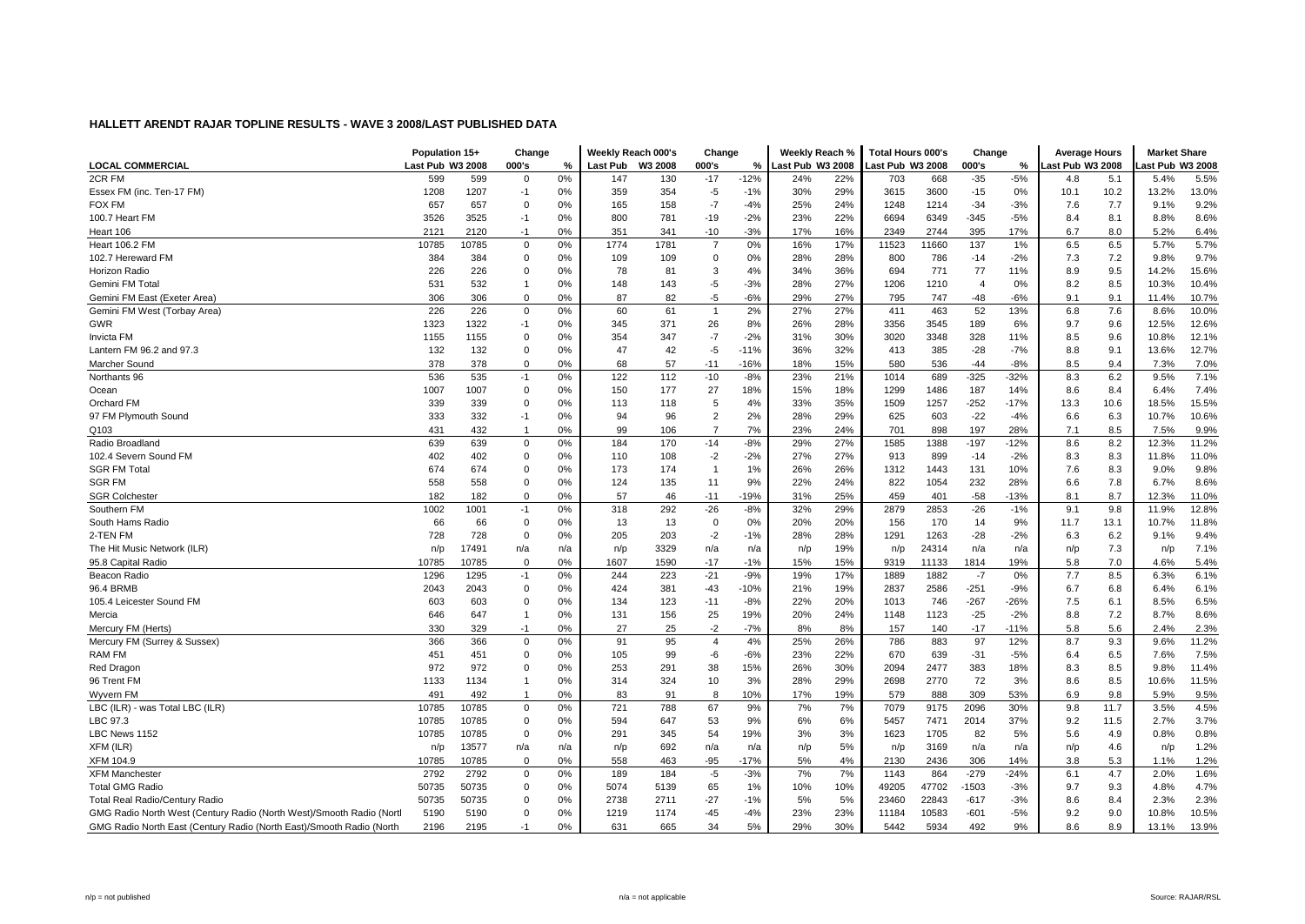|                                                                      | Population 15+   |       | Change         |     | Weekly Reach 000's |         | Change         |        | Weekly Reach %   |     | <b>Total Hours 000's</b> |       | Change         |        | <b>Average Hours</b> |      | <b>Market Share</b> |       |
|----------------------------------------------------------------------|------------------|-------|----------------|-----|--------------------|---------|----------------|--------|------------------|-----|--------------------------|-------|----------------|--------|----------------------|------|---------------------|-------|
| <b>LOCAL COMMERCIAL</b>                                              | Last Pub W3 2008 |       | 000's          | %   | Last Pub           | W3 2008 | 000's          | %      | Last Pub W3 2008 |     | Last Pub W3 2008         |       | 000's          | %      | ast Pub W3 2008      |      | ast Pub W3 2008     |       |
| 2CR FM                                                               | 599              | 599   | 0              | 0%  | 147                | 130     | $-17$          | $-12%$ | 24%              | 22% | 703                      | 668   | $-35$          | $-5%$  | 4.8                  | 5.1  | 5.4%                | 5.5%  |
| Essex FM (inc. Ten-17 FM)                                            | 1208             | 1207  | $-1$           | 0%  | 359                | 354     | -5             | $-1%$  | 30%              | 29% | 3615                     | 3600  | $-15$          | 0%     | 10.1                 | 10.2 | 13.2%               | 13.0% |
| <b>FOX FM</b>                                                        | 657              | 657   | 0              | 0%  | 165                | 158     | $-7$           | $-4%$  | 25%              | 24% | 1248                     | 1214  | $-34$          | $-3%$  | 7.6                  | 7.7  | 9.1%                | 9.2%  |
| 100.7 Heart FM                                                       | 3526             | 3525  | $-1$           | 0%  | 800                | 781     | $-19$          | $-2%$  | 23%              | 22% | 6694                     | 6349  | $-345$         | $-5%$  | 8.4                  | 8.1  | 8.8%                | 8.6%  |
| Heart 106                                                            | 2121             | 2120  | $-1$           | 0%  | 351                | 341     | -10            | $-3%$  | 17%              | 16% | 2349                     | 2744  | 395            | 17%    | 6.7                  | 8.0  | 5.2%                | 6.4%  |
| <b>Heart 106.2 FM</b>                                                | 10785            | 10785 | $\mathbf 0$    | 0%  | 1774               | 1781    | $\overline{7}$ | 0%     | 16%              | 17% | 11523                    | 11660 | 137            | 1%     | 6.5                  | 6.5  | 5.7%                | 5.7%  |
| 102.7 Hereward FM                                                    | 384              | 384   | $\mathbf 0$    | 0%  | 109                | 109     | $\mathbf 0$    | 0%     | 28%              | 28% | 800                      | 786   | $-14$          | $-2%$  | 7.3                  | 7.2  | 9.8%                | 9.7%  |
| Horizon Radio                                                        | 226              | 226   | $\Omega$       | 0%  | 78                 | 81      | 3              | 4%     | 34%              | 36% | 694                      | 771   | 77             | 11%    | 8.9                  | 9.5  | 14.2%               | 15.6% |
| Gemini FM Total                                                      | 531              | 532   | $\mathbf{1}$   | 0%  | 148                | 143     | -5             | $-3%$  | 28%              | 27% | 1206                     | 1210  | $\overline{4}$ | 0%     | 8.2                  | 8.5  | 10.3%               | 10.4% |
| Gemini FM East (Exeter Area)                                         | 306              | 306   | $\Omega$       | 0%  | 87                 | 82      | $-5$           | $-6%$  | 29%              | 27% | 795                      | 747   | $-48$          | $-6%$  | 9.1                  | 9.1  | 11.4%               | 10.7% |
| Gemini FM West (Torbay Area)                                         | 226              | 226   | $\mathbf 0$    | 0%  | 60                 | 61      | $\overline{1}$ | 2%     | 27%              | 27% | 411                      | 463   | 52             | 13%    | 6.8                  | 7.6  | 8.6%                | 10.0% |
| GWR                                                                  | 1323             | 1322  | $-1$           | 0%  | 345                | 371     | 26             | 8%     | 26%              | 28% | 3356                     | 3545  | 189            | 6%     | 9.7                  | 9.6  | 12.5%               | 12.6% |
| Invicta FM                                                           | 1155             | 1155  | $\Omega$       | 0%  | 354                | 347     | $-7$           | $-2%$  | 31%              | 30% | 3020                     | 3348  | 328            | 11%    | 8.5                  | 9.6  | 10.8%               | 12.1% |
| Lantern FM 96.2 and 97.3                                             | 132              | 132   | $\Omega$       | 0%  | 47                 | 42      | $-5$           | $-11%$ | 36%              | 32% | 413                      | 385   | $-28$          | $-7%$  | 8.8                  | 9.1  | 13.6%               | 12.7% |
| Marcher Sound                                                        | 378              | 378   | $\mathbf 0$    | 0%  | 68                 | 57      | $-11$          | $-16%$ | 18%              | 15% | 580                      | 536   | -44            | $-8%$  | 8.5                  | 9.4  | 7.3%                | 7.0%  |
| Northants 96                                                         | 536              | 535   | $-1$           | 0%  | 122                | 112     | $-10$          | $-8%$  | 23%              | 21% | 1014                     | 689   | $-325$         | $-32%$ | 8.3                  | 6.2  | 9.5%                | 7.1%  |
| Ocean                                                                | 1007             | 1007  | 0              | 0%  | 150                | 177     | 27             | 18%    | 15%              | 18% | 1299                     | 1486  | 187            | 14%    | 8.6                  | 8.4  | 6.4%                | 7.4%  |
| <b>Orchard FM</b>                                                    | 339              | 339   | $\Omega$       | 0%  | 113                | 118     | 5              | 4%     | 33%              | 35% | 1509                     | 1257  | $-252$         | $-17%$ | 13.3                 | 10.6 | 18.5%               | 15.5% |
| 97 FM Plymouth Sound                                                 | 333              | 332   | $-1$           | 0%  | 94                 | 96      | $\overline{2}$ | 2%     | 28%              | 29% | 625                      | 603   | $-22$          | $-4%$  | 6.6                  | 6.3  | 10.7%               | 10.6% |
| Q103                                                                 | 431              | 432   | -1             | 0%  | 99                 | 106     | $\overline{7}$ | 7%     | 23%              | 24% | 701                      | 898   | 197            | 28%    | 7.1                  | 8.5  | 7.5%                | 9.9%  |
| Radio Broadland                                                      | 639              | 639   | $\mathbf 0$    | 0%  | 184                | 170     | $-14$          | $-8%$  | 29%              | 27% | 1585                     | 1388  | $-197$         | $-12%$ | 8.6                  | 8.2  | 12.3%               | 11.2% |
| 102.4 Severn Sound FM                                                | 402              | 402   | $\Omega$       | 0%  | 110                | 108     | $-2$           | $-2%$  | 27%              | 27% | 913                      | 899   | $-14$          | $-2%$  | 8.3                  | 8.3  | 11.8%               | 11.0% |
| <b>SGR FM Total</b>                                                  | 674              | 674   | $\Omega$       | 0%  | 173                | 174     | $\overline{1}$ | 1%     | 26%              | 26% | 1312                     | 1443  | 131            | 10%    | 7.6                  | 8.3  | 9.0%                | 9.8%  |
| <b>SGR FM</b>                                                        | 558              | 558   | $\mathbf 0$    | 0%  | 124                | 135     | 11             | 9%     | 22%              | 24% | 822                      | 1054  | 232            | 28%    | 6.6                  | 7.8  | 6.7%                | 8.6%  |
| <b>SGR Colchester</b>                                                | 182              | 182   | $\Omega$       | 0%  | 57                 | 46      | $-11$          | $-19%$ | 31%              | 25% | 459                      | 401   | $-58$          | $-13%$ | 8.1                  | 8.7  | 12.3%               | 11.0% |
| Southern FM                                                          | 1002             | 1001  | $-1$           | 0%  | 318                | 292     | $-26$          | $-8%$  | 32%              | 29% | 2879                     | 2853  | $-26$          | $-1%$  | 9.1                  | 9.8  | 11.9%               | 12.8% |
| South Hams Radio                                                     | 66               | 66    | $\Omega$       | 0%  | 13                 | 13      | $\mathbf 0$    | 0%     | 20%              | 20% | 156                      | 170   | 14             | 9%     | 11.7                 | 13.1 | 10.7%               | 11.8% |
| 2-TEN FM                                                             | 728              | 728   | $\mathbf 0$    | 0%  | 205                | 203     | $-2$           | $-1%$  | 28%              | 28% | 1291                     | 1263  | $-28$          | $-2%$  | 6.3                  | 6.2  | 9.1%                | 9.4%  |
| The Hit Music Network (ILR)                                          | n/p              | 17491 | n/a            | n/a | n/p                | 3329    | n/a            | n/a    | n/p              | 19% | n/p                      | 24314 | n/a            | n/a    | n/p                  | 7.3  | n/p                 | 7.1%  |
| 95.8 Capital Radio                                                   | 10785            | 10785 | $\Omega$       | 0%  | 1607               | 1590    | $-17$          | $-1%$  | 15%              | 15% | 9319                     | 11133 | 1814           | 19%    | 5.8                  | 7.0  | 4.6%                | 5.4%  |
| Beacon Radio                                                         | 1296             | 1295  | $-1$           | 0%  | 244                | 223     | $-21$          | $-9%$  | 19%              | 17% | 1889                     | 1882  | $-7$           | 0%     | 7.7                  | 8.5  | 6.3%                | 6.1%  |
| 96.4 BRMB                                                            | 2043             | 2043  | $\mathbf 0$    | 0%  | 424                | 381     | $-43$          | $-10%$ | 21%              | 19% | 2837                     | 2586  | $-251$         | $-9%$  | 6.7                  | 6.8  | 6.4%                | 6.1%  |
| 105.4 Leicester Sound FM                                             | 603              | 603   | $\mathbf 0$    | 0%  | 134                | 123     | $-11$          | $-8%$  | 22%              | 20% | 1013                     | 746   | $-267$         | $-26%$ | 7.5                  | 6.1  | 8.5%                | 6.5%  |
| Mercia                                                               | 646              | 647   | $\overline{1}$ | 0%  | 131                | 156     | 25             | 19%    | 20%              | 24% | 1148                     | 1123  | $-25$          | $-2%$  | 8.8                  | 7.2  | 8.7%                | 8.6%  |
| Mercury FM (Herts)                                                   | 330              | 329   | $-1$           | 0%  | 27                 | 25      | $-2$           | $-7%$  | 8%               | 8%  | 157                      | 140   | $-17$          | $-11%$ | 5.8                  | 5.6  | 2.4%                | 2.3%  |
| Mercury FM (Surrey & Sussex)                                         | 366              | 366   | $\mathbf 0$    | 0%  | 91                 | 95      | $\overline{4}$ | 4%     | 25%              | 26% | 786                      | 883   | 97             | 12%    | 8.7                  | 9.3  | 9.6%                | 11.2% |
| RAM FM                                                               | 451              | 451   | $\Omega$       | 0%  | 105                | 99      | -6             | $-6%$  | 23%              | 22% | 670                      | 639   | $-31$          | $-5%$  | 6.4                  | 6.5  | 7.6%                | 7.5%  |
| Red Dragon                                                           | 972              | 972   | $\mathbf 0$    | 0%  | 253                | 291     | 38             | 15%    | 26%              | 30% | 2094                     | 2477  | 383            | 18%    | 8.3                  | 8.5  | 9.8%                | 11.4% |
| 96 Trent FM                                                          | 1133             | 1134  | $\mathbf{1}$   | 0%  | 314                | 324     | 10             | 3%     | 28%              | 29% | 2698                     | 2770  | 72             | 3%     | 8.6                  | 8.5  | 10.6%               | 11.5% |
| Wyvern FM                                                            | 491              | 492   | $\mathbf{1}$   | 0%  | 83                 | 91      | 8              | 10%    | 17%              | 19% | 579                      | 888   | 309            | 53%    | 6.9                  | 9.8  | 5.9%                | 9.5%  |
| LBC (ILR) - was Total LBC (ILR)                                      | 10785            | 10785 | $\Omega$       | 0%  | 721                | 788     | 67             | 9%     | 7%               | 7%  | 7079                     | 9175  | 2096           | 30%    | 9.8                  | 11.7 | 3.5%                | 4.5%  |
| LBC 97.3                                                             | 10785            | 10785 | $\mathbf 0$    | 0%  | 594                | 647     | 53             | 9%     | 6%               | 6%  | 5457                     | 7471  | 2014           | 37%    | 9.2                  | 11.5 | 2.7%                | 3.7%  |
| LBC News 1152                                                        | 10785            | 10785 | $\mathbf 0$    | 0%  | 291                | 345     | 54             | 19%    | 3%               | 3%  | 1623                     | 1705  | 82             | 5%     | 5.6                  | 4.9  | 0.8%                | 0.8%  |
| XFM (ILR)                                                            | n/p              | 13577 | n/a            | n/a | n/p                | 692     | n/a            | n/a    | n/p              | 5%  | n/p                      | 3169  | n/a            | n/a    | n/p                  | 4.6  | n/p                 | 1.2%  |
| XFM 104.9                                                            | 10785            | 10785 | $\mathbf 0$    | 0%  | 558                | 463     | $-95$          | $-17%$ | 5%               | 4%  | 2130                     | 2436  | 306            | 14%    | 3.8                  | 5.3  | 1.1%                | 1.2%  |
| <b>XFM Mancheste</b>                                                 | 2792             | 2792  | $\Omega$       | 0%  | 189                | 184     | $-5$           | $-3%$  | 7%               | 7%  | 1143                     | 864   | $-279$         | $-24%$ | 6.1                  | 4.7  | 2.0%                | 1.6%  |
| <b>Total GMG Radio</b>                                               | 50735            | 50735 | $\mathbf 0$    | 0%  | 5074               | 5139    | 65             | 1%     | 10%              | 10% | 49205                    | 47702 | $-1503$        | $-3%$  | 9.7                  | 9.3  | 4.8%                | 4.7%  |
| <b>Total Real Radio/Century Radio</b>                                | 50735            | 50735 | $\Omega$       | 0%  | 2738               | 2711    | $-27$          | $-1%$  | 5%               | 5%  | 23460                    | 22843 | $-617$         | $-3%$  | 8.6                  | 8.4  | 2.3%                | 2.3%  |
| GMG Radio North West (Century Radio (North West)/Smooth Radio (Nortl | 5190             | 5190  | $\mathbf 0$    | 0%  | 1219               | 1174    | $-45$          | $-4%$  | 23%              | 23% | 11184                    | 10583 | $-601$         | $-5%$  | 9.2                  | 9.0  | 10.8%               | 10.5% |
| GMG Radio North East (Century Radio (North East)/Smooth Radio (North | 2196             | 2195  | $-1$           | 0%  | 631                | 665     | 34             | 5%     | 29%              | 30% | 5442                     | 5934  | 492            | 9%     | 8.6                  | 8.9  | 13.1%               | 13.9% |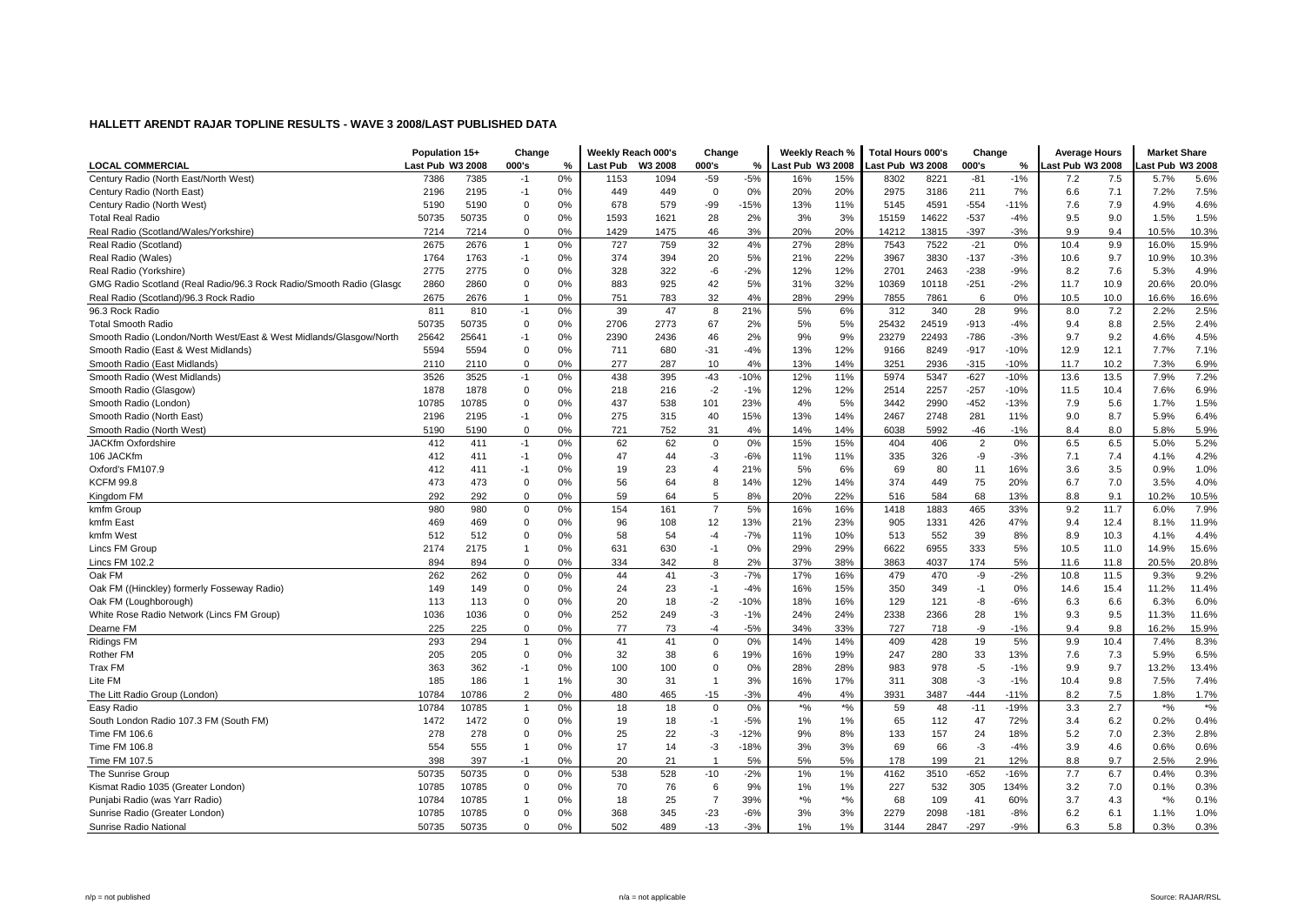| Last Pub W3 2008<br>000's<br>W3 2008<br>000's<br>Last Pub W3 2008<br>ast Pub W3 2008<br>000's<br>ast Pub W3 2008<br>%<br>Last Pub<br>%<br>℅<br>ast Pub W3 2008<br>0%<br>$-5%$<br>15%<br>$-1%$<br>5.6%<br>7386<br>7385<br>$-1$<br>1153<br>1094<br>$-59$<br>16%<br>8302<br>8221<br>$-81$<br>7.5<br>5.7%<br>7.2<br>7.5%<br>2195<br>0%<br>449<br>$\mathbf 0$<br>0%<br>20%<br>20%<br>2975<br>211<br>7%<br>7.1<br>2196<br>$-1$<br>449<br>3186<br>6.6<br>7.2%<br>$-15%$<br>7.9<br>4.6%<br>0%<br>579<br>-99<br>11%<br>4591<br>$-554$<br>4.9%<br>5190<br>5190<br>0<br>678<br>13%<br>5145<br>$-11%$<br>7.6<br>50735<br>$\Omega$<br>0%<br>1593<br>1621<br>2%<br>3%<br>3%<br>15159<br>14622<br>$-537$<br>$-4%$<br>9.0<br>1.5%<br>1.5%<br>50735<br>28<br>9.5<br>3%<br>20%<br>20%<br>10.3%<br>7214<br>7214<br>$\Omega$<br>0%<br>1429<br>1475<br>46<br>14212<br>13815<br>$-397$<br>$-3%$<br>9.9<br>9.4<br>10.5%<br>2675<br>2676<br>0%<br>727<br>759<br>32<br>4%<br>27%<br>28%<br>7522<br>$-21$<br>0%<br>10.4<br>9.9<br>15.9%<br>7543<br>16.0%<br>$\mathbf{1}$<br>1764<br>3967<br>3830<br>$-137$<br>9.7<br>10.9%<br>10.3%<br>1763<br>$-1$<br>0%<br>374<br>394<br>20<br>5%<br>21%<br>22%<br>$-3%$<br>10.6<br>7.6<br>4.9%<br>2775<br>2775<br>$\mathbf 0$<br>0%<br>328<br>322<br>-6<br>$-2%$<br>12%<br>12%<br>2701<br>2463<br>$-238$<br>$-9%$<br>5.3%<br>8.2<br>20.0%<br>2860<br>2860<br>$\mathbf 0$<br>0%<br>925<br>42<br>5%<br>31%<br>32%<br>10369<br>$-251$<br>$-2%$<br>10.9<br>20.6%<br>883<br>10118<br>11.7<br>2675<br>0%<br>32<br>4%<br>29%<br>6<br>0%<br>10.0<br>16.6%<br>2676<br>$\mathbf{1}$<br>751<br>783<br>28%<br>7855<br>7861<br>10.5<br>16.6%<br>2.5%<br>811<br>810<br>$-1$<br>0%<br>39<br>47<br>8<br>21%<br>5%<br>6%<br>312<br>340<br>28<br>9%<br>8.0<br>7.2<br>2.2%<br>2773<br>67<br>5%<br>25432<br>$-913$<br>2.4%<br>50735<br>50735<br>$\mathbf 0$<br>0%<br>2706<br>2%<br>5%<br>24519<br>$-4%$<br>9.4<br>8.8<br>2.5%<br>25641<br>4.5%<br>25642<br>0%<br>2390<br>2436<br>46<br>2%<br>9%<br>9%<br>23279<br>22493<br>$-786$<br>$-3%$<br>9.7<br>9.2<br>4.6%<br>$-1$<br>5594<br>5594<br>$\mathbf 0$<br>0%<br>680<br>$-31$<br>$-4%$<br>13%<br>12%<br>9166<br>8249<br>$-917$<br>12.9<br>12.1<br>7.7%<br>7.1%<br>711<br>$-10%$<br>2110<br>2110<br>$\mathbf 0$<br>0%<br>277<br>287<br>10<br>4%<br>13%<br>14%<br>3251<br>2936<br>$-315$<br>$-10%$<br>11.7<br>10.2<br>7.3%<br>6.9%<br>$-627$<br>7.2%<br>3526<br>3525<br>0%<br>438<br>395<br>$-43$<br>$-10%$<br>12%<br>11%<br>5974<br>5347<br>$-10%$<br>13.6<br>13.5<br>7.9%<br>$-1$<br>216<br>$-2$<br>$-257$<br>6.9%<br>1878<br>1878<br>$\mathbf 0$<br>0%<br>218<br>$-1%$<br>12%<br>12%<br>2514<br>2257<br>$-10%$<br>11.5<br>10.4<br>7.6%<br>10785<br>$\Omega$<br>23%<br>4%<br>5%<br>3442<br>2990<br>$-452$<br>$-13%$<br>1.5%<br>10785<br>0%<br>437<br>538<br>101<br>7.9<br>5.6<br>1.7%<br>6.4%<br>2196<br>2195<br>$-1$<br>0%<br>275<br>315<br>40<br>15%<br>13%<br>14%<br>2467<br>2748<br>281<br>11%<br>9.0<br>8.7<br>5.9%<br>Smooth Radio (North West)<br>5190<br>5190<br>$\Omega$<br>0%<br>721<br>752<br>4%<br>14%<br>14%<br>6038<br>5992<br>$-46$<br>$-1%$<br>8.0<br>5.9%<br>31<br>8.4<br>5.8%<br>62<br>62<br>0%<br>15%<br>0%<br>6.5<br>5.2%<br>412<br>$-1$<br>0%<br>$\mathbf 0$<br>15%<br>404<br>$\overline{2}$<br>6.5<br>5.0%<br>411<br>406<br>412<br>$-3$<br>$-6%$<br>11%<br>335<br>326<br>-9<br>$-3%$<br>7.4<br>4.1%<br>4.2%<br>411<br>$-1$<br>0%<br>47<br>44<br>11%<br>7.1<br>23<br>3.5<br>1.0%<br>412<br>411<br>0%<br>19<br>$\overline{4}$<br>21%<br>5%<br>6%<br>69<br>80<br>16%<br>3.6<br>0.9%<br>$-1$<br>11<br>7.0<br>64<br>4.0%<br>473<br>473<br>$\mathbf 0$<br>0%<br>56<br>8<br>14%<br>12%<br>14%<br>374<br>449<br>75<br>20%<br>6.7<br>3.5%<br>22%<br>68<br>10.5%<br>292<br>292<br>$\Omega$<br>0%<br>59<br>64<br>5<br>8%<br>20%<br>516<br>584<br>13%<br>9.1<br>8.8<br>10.2%<br>980<br>154<br>$\overline{7}$<br>5%<br>16%<br>16%<br>1418<br>465<br>33%<br>9.2<br>7.9%<br>980<br>$\mathbf 0$<br>0%<br>161<br>1883<br>11.7<br>6.0%<br>469<br>$\mathbf 0$<br>12<br>13%<br>21%<br>905<br>1331<br>426<br>47%<br>12.4<br>11.9%<br>469<br>0%<br>96<br>108<br>23%<br>9.4<br>8.1%<br>$-7%$<br>513<br>552<br>39<br>8%<br>10.3<br>4.4%<br>512<br>512<br>$\Omega$<br>0%<br>58<br>54<br>$-4$<br>11%<br>10%<br>8.9<br>4.1%<br>2174<br>2175<br>0%<br>631<br>630<br>0%<br>29%<br>29%<br>6622<br>6955<br>333<br>5%<br>11.0<br>14.9%<br>15.6%<br>$\mathbf{1}$<br>$-1$<br>10.5<br>20.8%<br>894<br>894<br>$\Omega$<br>0%<br>334<br>342<br>8<br>2%<br>37%<br>38%<br>3863<br>4037<br>174<br>5%<br>11.8<br>20.5%<br>11.6<br>$-7%$<br>9.2%<br>262<br>$\mathbf 0$<br>0%<br>44<br>41<br>$-3$<br>17%<br>16%<br>-9<br>$-2%$<br>10.8<br>11.5<br>262<br>479<br>470<br>9.3%<br>23<br>$-4%$<br>16%<br>350<br>0%<br>11.4%<br>Oak FM ((Hinckley) formerly Fosseway Radio)<br>149<br>149<br>0<br>0%<br>24<br>$-1$<br>15%<br>349<br>$-1$<br>14.6<br>15.4<br>11.2%<br>113<br>113<br>$\mathbf 0$<br>0%<br>20<br>18<br>$-2$<br>$-10%$<br>18%<br>16%<br>129<br>121<br>-8<br>$-6%$<br>6.6<br>6.3%<br>6.0%<br>6.3<br>1036<br>1036<br>$\Omega$<br>252<br>$-3$<br>$-1%$<br>24%<br>24%<br>2338<br>2366<br>28<br>9.5<br>11.6%<br>0%<br>249<br>1%<br>9.3<br>11.3%<br>$\Omega$<br>77<br>$-5%$<br>-9<br>9.8<br>15.9%<br>225<br>225<br>0%<br>73<br>$-4$<br>34%<br>33%<br>727<br>718<br>$-1%$<br>9.4<br>16.2%<br>5%<br>293<br>294<br>0%<br>41<br>41<br>$\Omega$<br>0%<br>14%<br>14%<br>409<br>428<br>19<br>9.9<br>10.4<br>7.4%<br>8.3%<br>$\mathbf{1}$<br>6.5%<br>205<br>$\mathbf 0$<br>32<br>38<br>6<br>19%<br>16%<br>19%<br>247<br>280<br>33<br>13%<br>7.3<br>5.9%<br>205<br>0%<br>7.6<br>363<br>100<br>100<br>$\mathbf 0$<br>0%<br>28%<br>28%<br>983<br>978<br>-5<br>$-1%$<br>9.7<br>13.2%<br>13.4%<br>362<br>$-1$<br>0%<br>9.9<br>185<br>31<br>3%<br>17%<br>$-3$<br>9.8<br>7.5%<br>7.4%<br>186<br>1%<br>30<br>$\mathbf{1}$<br>16%<br>311<br>308<br>$-1%$<br>10.4<br>-1<br>$\overline{2}$<br>480<br>$-15$<br>$-3%$<br>4%<br>4%<br>3931<br>3487<br>7.5<br>1.7%<br>10784<br>10786<br>0%<br>465<br>$-444$<br>$-11%$<br>8.2<br>1.8%<br>$*$ %<br>$*$ %<br>10785<br>0%<br>18<br>18<br>$\mathbf 0$<br>0%<br>$*$ %<br>59<br>48<br>$-11$<br>$-19%$<br>3.3<br>2.7<br>$*$ %<br>10784<br>$\mathbf{1}$<br>1472<br>1472<br>$\mathbf 0$<br>0%<br>19<br>18<br>$-5%$<br>1%<br>1%<br>65<br>112<br>47<br>72%<br>6.2<br>0.2%<br>0.4%<br>$-1$<br>3.4<br>$-12%$<br>7.0<br>2.8%<br>278<br>278<br>$\Omega$<br>0%<br>25<br>22<br>$-3$<br>9%<br>8%<br>133<br>157<br>18%<br>5.2<br>2.3%<br>24<br>554<br>0%<br>17<br>14<br>$-3$<br>$-18%$<br>3%<br>3%<br>69<br>66<br>-3<br>$-4%$<br>4.6<br>0.6%<br>0.6%<br>555<br>$\mathbf{1}$<br>3.9<br>5%<br>5%<br>21<br>12%<br>9.7<br>2.9%<br>398<br>397<br>$-1$<br>0%<br>20<br>21<br>$\mathbf{1}$<br>5%<br>178<br>199<br>8.8<br>2.5%<br>0.3%<br>0%<br>528<br>$-2%$<br>4162<br>$-652$<br>6.7<br>50735<br>50735<br>538<br>$-10$<br>1%<br>1%<br>3510<br>$-16%$<br>7.7<br>0.4%<br>$\mathbf 0$<br>10785<br>76<br>9%<br>1%<br>227<br>532<br>305<br>134%<br>7.0<br>0.3%<br>10785<br>$\mathbf 0$<br>0%<br>70<br>6<br>1%<br>3.2<br>0.1%<br>$\overline{7}$<br>$*$ %<br>$*$ %<br>0.1%<br>10784<br>10785<br>0%<br>18<br>25<br>39%<br>68<br>109<br>60%<br>3.7<br>4.3<br>$*$ %<br>$\mathbf{1}$<br>41 |                                                                     | Population 15+ | Change | Weekly Reach 000's | Change | Weekly Reach % | Total Hours 000's | Change | <b>Average Hours</b> | <b>Market Share</b> |  |
|-----------------------------------------------------------------------------------------------------------------------------------------------------------------------------------------------------------------------------------------------------------------------------------------------------------------------------------------------------------------------------------------------------------------------------------------------------------------------------------------------------------------------------------------------------------------------------------------------------------------------------------------------------------------------------------------------------------------------------------------------------------------------------------------------------------------------------------------------------------------------------------------------------------------------------------------------------------------------------------------------------------------------------------------------------------------------------------------------------------------------------------------------------------------------------------------------------------------------------------------------------------------------------------------------------------------------------------------------------------------------------------------------------------------------------------------------------------------------------------------------------------------------------------------------------------------------------------------------------------------------------------------------------------------------------------------------------------------------------------------------------------------------------------------------------------------------------------------------------------------------------------------------------------------------------------------------------------------------------------------------------------------------------------------------------------------------------------------------------------------------------------------------------------------------------------------------------------------------------------------------------------------------------------------------------------------------------------------------------------------------------------------------------------------------------------------------------------------------------------------------------------------------------------------------------------------------------------------------------------------------------------------------------------------------------------------------------------------------------------------------------------------------------------------------------------------------------------------------------------------------------------------------------------------------------------------------------------------------------------------------------------------------------------------------------------------------------------------------------------------------------------------------------------------------------------------------------------------------------------------------------------------------------------------------------------------------------------------------------------------------------------------------------------------------------------------------------------------------------------------------------------------------------------------------------------------------------------------------------------------------------------------------------------------------------------------------------------------------------------------------------------------------------------------------------------------------------------------------------------------------------------------------------------------------------------------------------------------------------------------------------------------------------------------------------------------------------------------------------------------------------------------------------------------------------------------------------------------------------------------------------------------------------------------------------------------------------------------------------------------------------------------------------------------------------------------------------------------------------------------------------------------------------------------------------------------------------------------------------------------------------------------------------------------------------------------------------------------------------------------------------------------------------------------------------------------------------------------------------------------------------------------------------------------------------------------------------------------------------------------------------------------------------------------------------------------------------------------------------------------------------------------------------------------------------------------------------------------------------------------------------------------------------------------------------------------------------------------------------------------------------------------------------------------------------------------------------------------------------------------------------------------------------------------------------------------------------------------------------------------------------------------------------------------------------------------------------------------------------------------------------------------------------------------------------------------------------------------------------------------------------------------------------------------------------------------------------------------------------------------------------------------------------------------------------------------------------------------------------------------------------------------------------------------------------------------------------------------------------------------------------------------------------------------------------------------------------------------------------------------------------------------------------------------------------------------------------------------------------------------------------------------------------------------------------------------------------------------------------------------------------------------------------------------------------------------------------------------------------------------------------------------------------------------------------------------------------------------------------------------------------------------------------------------------------------------------------------------------------------------------------------------------------------------------------------------------------------------------------------------------------------------------------------------------------------------------|---------------------------------------------------------------------|----------------|--------|--------------------|--------|----------------|-------------------|--------|----------------------|---------------------|--|
|                                                                                                                                                                                                                                                                                                                                                                                                                                                                                                                                                                                                                                                                                                                                                                                                                                                                                                                                                                                                                                                                                                                                                                                                                                                                                                                                                                                                                                                                                                                                                                                                                                                                                                                                                                                                                                                                                                                                                                                                                                                                                                                                                                                                                                                                                                                                                                                                                                                                                                                                                                                                                                                                                                                                                                                                                                                                                                                                                                                                                                                                                                                                                                                                                                                                                                                                                                                                                                                                                                                                                                                                                                                                                                                                                                                                                                                                                                                                                                                                                                                                                                                                                                                                                                                                                                                                                                                                                                                                                                                                                                                                                                                                                                                                                                                                                                                                                                                                                                                                                                                                                                                                                                                                                                                                                                                                                                                                                                                                                                                                                                                                                                                                                                                                                                                                                                                                                                                                                                                                                                                                                                                                                                                                                                                                                                                                                                                                                                                                                                                                                                                                                                                                                                                                                                                                                                                                                                                                                                                                                                                                                                                                                                                               | <b>LOCAL COMMERCIAL</b>                                             |                |        |                    |        |                |                   |        |                      |                     |  |
|                                                                                                                                                                                                                                                                                                                                                                                                                                                                                                                                                                                                                                                                                                                                                                                                                                                                                                                                                                                                                                                                                                                                                                                                                                                                                                                                                                                                                                                                                                                                                                                                                                                                                                                                                                                                                                                                                                                                                                                                                                                                                                                                                                                                                                                                                                                                                                                                                                                                                                                                                                                                                                                                                                                                                                                                                                                                                                                                                                                                                                                                                                                                                                                                                                                                                                                                                                                                                                                                                                                                                                                                                                                                                                                                                                                                                                                                                                                                                                                                                                                                                                                                                                                                                                                                                                                                                                                                                                                                                                                                                                                                                                                                                                                                                                                                                                                                                                                                                                                                                                                                                                                                                                                                                                                                                                                                                                                                                                                                                                                                                                                                                                                                                                                                                                                                                                                                                                                                                                                                                                                                                                                                                                                                                                                                                                                                                                                                                                                                                                                                                                                                                                                                                                                                                                                                                                                                                                                                                                                                                                                                                                                                                                                               | Century Radio (North East/North West)                               |                |        |                    |        |                |                   |        |                      |                     |  |
|                                                                                                                                                                                                                                                                                                                                                                                                                                                                                                                                                                                                                                                                                                                                                                                                                                                                                                                                                                                                                                                                                                                                                                                                                                                                                                                                                                                                                                                                                                                                                                                                                                                                                                                                                                                                                                                                                                                                                                                                                                                                                                                                                                                                                                                                                                                                                                                                                                                                                                                                                                                                                                                                                                                                                                                                                                                                                                                                                                                                                                                                                                                                                                                                                                                                                                                                                                                                                                                                                                                                                                                                                                                                                                                                                                                                                                                                                                                                                                                                                                                                                                                                                                                                                                                                                                                                                                                                                                                                                                                                                                                                                                                                                                                                                                                                                                                                                                                                                                                                                                                                                                                                                                                                                                                                                                                                                                                                                                                                                                                                                                                                                                                                                                                                                                                                                                                                                                                                                                                                                                                                                                                                                                                                                                                                                                                                                                                                                                                                                                                                                                                                                                                                                                                                                                                                                                                                                                                                                                                                                                                                                                                                                                                               | Century Radio (North East)                                          |                |        |                    |        |                |                   |        |                      |                     |  |
|                                                                                                                                                                                                                                                                                                                                                                                                                                                                                                                                                                                                                                                                                                                                                                                                                                                                                                                                                                                                                                                                                                                                                                                                                                                                                                                                                                                                                                                                                                                                                                                                                                                                                                                                                                                                                                                                                                                                                                                                                                                                                                                                                                                                                                                                                                                                                                                                                                                                                                                                                                                                                                                                                                                                                                                                                                                                                                                                                                                                                                                                                                                                                                                                                                                                                                                                                                                                                                                                                                                                                                                                                                                                                                                                                                                                                                                                                                                                                                                                                                                                                                                                                                                                                                                                                                                                                                                                                                                                                                                                                                                                                                                                                                                                                                                                                                                                                                                                                                                                                                                                                                                                                                                                                                                                                                                                                                                                                                                                                                                                                                                                                                                                                                                                                                                                                                                                                                                                                                                                                                                                                                                                                                                                                                                                                                                                                                                                                                                                                                                                                                                                                                                                                                                                                                                                                                                                                                                                                                                                                                                                                                                                                                                               | Century Radio (North West)                                          |                |        |                    |        |                |                   |        |                      |                     |  |
|                                                                                                                                                                                                                                                                                                                                                                                                                                                                                                                                                                                                                                                                                                                                                                                                                                                                                                                                                                                                                                                                                                                                                                                                                                                                                                                                                                                                                                                                                                                                                                                                                                                                                                                                                                                                                                                                                                                                                                                                                                                                                                                                                                                                                                                                                                                                                                                                                                                                                                                                                                                                                                                                                                                                                                                                                                                                                                                                                                                                                                                                                                                                                                                                                                                                                                                                                                                                                                                                                                                                                                                                                                                                                                                                                                                                                                                                                                                                                                                                                                                                                                                                                                                                                                                                                                                                                                                                                                                                                                                                                                                                                                                                                                                                                                                                                                                                                                                                                                                                                                                                                                                                                                                                                                                                                                                                                                                                                                                                                                                                                                                                                                                                                                                                                                                                                                                                                                                                                                                                                                                                                                                                                                                                                                                                                                                                                                                                                                                                                                                                                                                                                                                                                                                                                                                                                                                                                                                                                                                                                                                                                                                                                                                               | <b>Total Real Radio</b>                                             |                |        |                    |        |                |                   |        |                      |                     |  |
|                                                                                                                                                                                                                                                                                                                                                                                                                                                                                                                                                                                                                                                                                                                                                                                                                                                                                                                                                                                                                                                                                                                                                                                                                                                                                                                                                                                                                                                                                                                                                                                                                                                                                                                                                                                                                                                                                                                                                                                                                                                                                                                                                                                                                                                                                                                                                                                                                                                                                                                                                                                                                                                                                                                                                                                                                                                                                                                                                                                                                                                                                                                                                                                                                                                                                                                                                                                                                                                                                                                                                                                                                                                                                                                                                                                                                                                                                                                                                                                                                                                                                                                                                                                                                                                                                                                                                                                                                                                                                                                                                                                                                                                                                                                                                                                                                                                                                                                                                                                                                                                                                                                                                                                                                                                                                                                                                                                                                                                                                                                                                                                                                                                                                                                                                                                                                                                                                                                                                                                                                                                                                                                                                                                                                                                                                                                                                                                                                                                                                                                                                                                                                                                                                                                                                                                                                                                                                                                                                                                                                                                                                                                                                                                               | Real Radio (Scotland/Wales/Yorkshire)                               |                |        |                    |        |                |                   |        |                      |                     |  |
|                                                                                                                                                                                                                                                                                                                                                                                                                                                                                                                                                                                                                                                                                                                                                                                                                                                                                                                                                                                                                                                                                                                                                                                                                                                                                                                                                                                                                                                                                                                                                                                                                                                                                                                                                                                                                                                                                                                                                                                                                                                                                                                                                                                                                                                                                                                                                                                                                                                                                                                                                                                                                                                                                                                                                                                                                                                                                                                                                                                                                                                                                                                                                                                                                                                                                                                                                                                                                                                                                                                                                                                                                                                                                                                                                                                                                                                                                                                                                                                                                                                                                                                                                                                                                                                                                                                                                                                                                                                                                                                                                                                                                                                                                                                                                                                                                                                                                                                                                                                                                                                                                                                                                                                                                                                                                                                                                                                                                                                                                                                                                                                                                                                                                                                                                                                                                                                                                                                                                                                                                                                                                                                                                                                                                                                                                                                                                                                                                                                                                                                                                                                                                                                                                                                                                                                                                                                                                                                                                                                                                                                                                                                                                                                               | Real Radio (Scotland)                                               |                |        |                    |        |                |                   |        |                      |                     |  |
|                                                                                                                                                                                                                                                                                                                                                                                                                                                                                                                                                                                                                                                                                                                                                                                                                                                                                                                                                                                                                                                                                                                                                                                                                                                                                                                                                                                                                                                                                                                                                                                                                                                                                                                                                                                                                                                                                                                                                                                                                                                                                                                                                                                                                                                                                                                                                                                                                                                                                                                                                                                                                                                                                                                                                                                                                                                                                                                                                                                                                                                                                                                                                                                                                                                                                                                                                                                                                                                                                                                                                                                                                                                                                                                                                                                                                                                                                                                                                                                                                                                                                                                                                                                                                                                                                                                                                                                                                                                                                                                                                                                                                                                                                                                                                                                                                                                                                                                                                                                                                                                                                                                                                                                                                                                                                                                                                                                                                                                                                                                                                                                                                                                                                                                                                                                                                                                                                                                                                                                                                                                                                                                                                                                                                                                                                                                                                                                                                                                                                                                                                                                                                                                                                                                                                                                                                                                                                                                                                                                                                                                                                                                                                                                               | Real Radio (Wales)                                                  |                |        |                    |        |                |                   |        |                      |                     |  |
|                                                                                                                                                                                                                                                                                                                                                                                                                                                                                                                                                                                                                                                                                                                                                                                                                                                                                                                                                                                                                                                                                                                                                                                                                                                                                                                                                                                                                                                                                                                                                                                                                                                                                                                                                                                                                                                                                                                                                                                                                                                                                                                                                                                                                                                                                                                                                                                                                                                                                                                                                                                                                                                                                                                                                                                                                                                                                                                                                                                                                                                                                                                                                                                                                                                                                                                                                                                                                                                                                                                                                                                                                                                                                                                                                                                                                                                                                                                                                                                                                                                                                                                                                                                                                                                                                                                                                                                                                                                                                                                                                                                                                                                                                                                                                                                                                                                                                                                                                                                                                                                                                                                                                                                                                                                                                                                                                                                                                                                                                                                                                                                                                                                                                                                                                                                                                                                                                                                                                                                                                                                                                                                                                                                                                                                                                                                                                                                                                                                                                                                                                                                                                                                                                                                                                                                                                                                                                                                                                                                                                                                                                                                                                                                               | Real Radio (Yorkshire)                                              |                |        |                    |        |                |                   |        |                      |                     |  |
|                                                                                                                                                                                                                                                                                                                                                                                                                                                                                                                                                                                                                                                                                                                                                                                                                                                                                                                                                                                                                                                                                                                                                                                                                                                                                                                                                                                                                                                                                                                                                                                                                                                                                                                                                                                                                                                                                                                                                                                                                                                                                                                                                                                                                                                                                                                                                                                                                                                                                                                                                                                                                                                                                                                                                                                                                                                                                                                                                                                                                                                                                                                                                                                                                                                                                                                                                                                                                                                                                                                                                                                                                                                                                                                                                                                                                                                                                                                                                                                                                                                                                                                                                                                                                                                                                                                                                                                                                                                                                                                                                                                                                                                                                                                                                                                                                                                                                                                                                                                                                                                                                                                                                                                                                                                                                                                                                                                                                                                                                                                                                                                                                                                                                                                                                                                                                                                                                                                                                                                                                                                                                                                                                                                                                                                                                                                                                                                                                                                                                                                                                                                                                                                                                                                                                                                                                                                                                                                                                                                                                                                                                                                                                                                               | GMG Radio Scotland (Real Radio/96.3 Rock Radio/Smooth Radio (Glasgo |                |        |                    |        |                |                   |        |                      |                     |  |
|                                                                                                                                                                                                                                                                                                                                                                                                                                                                                                                                                                                                                                                                                                                                                                                                                                                                                                                                                                                                                                                                                                                                                                                                                                                                                                                                                                                                                                                                                                                                                                                                                                                                                                                                                                                                                                                                                                                                                                                                                                                                                                                                                                                                                                                                                                                                                                                                                                                                                                                                                                                                                                                                                                                                                                                                                                                                                                                                                                                                                                                                                                                                                                                                                                                                                                                                                                                                                                                                                                                                                                                                                                                                                                                                                                                                                                                                                                                                                                                                                                                                                                                                                                                                                                                                                                                                                                                                                                                                                                                                                                                                                                                                                                                                                                                                                                                                                                                                                                                                                                                                                                                                                                                                                                                                                                                                                                                                                                                                                                                                                                                                                                                                                                                                                                                                                                                                                                                                                                                                                                                                                                                                                                                                                                                                                                                                                                                                                                                                                                                                                                                                                                                                                                                                                                                                                                                                                                                                                                                                                                                                                                                                                                                               | Real Radio (Scotland)/96.3 Rock Radio                               |                |        |                    |        |                |                   |        |                      |                     |  |
|                                                                                                                                                                                                                                                                                                                                                                                                                                                                                                                                                                                                                                                                                                                                                                                                                                                                                                                                                                                                                                                                                                                                                                                                                                                                                                                                                                                                                                                                                                                                                                                                                                                                                                                                                                                                                                                                                                                                                                                                                                                                                                                                                                                                                                                                                                                                                                                                                                                                                                                                                                                                                                                                                                                                                                                                                                                                                                                                                                                                                                                                                                                                                                                                                                                                                                                                                                                                                                                                                                                                                                                                                                                                                                                                                                                                                                                                                                                                                                                                                                                                                                                                                                                                                                                                                                                                                                                                                                                                                                                                                                                                                                                                                                                                                                                                                                                                                                                                                                                                                                                                                                                                                                                                                                                                                                                                                                                                                                                                                                                                                                                                                                                                                                                                                                                                                                                                                                                                                                                                                                                                                                                                                                                                                                                                                                                                                                                                                                                                                                                                                                                                                                                                                                                                                                                                                                                                                                                                                                                                                                                                                                                                                                                               | 96.3 Rock Radio                                                     |                |        |                    |        |                |                   |        |                      |                     |  |
|                                                                                                                                                                                                                                                                                                                                                                                                                                                                                                                                                                                                                                                                                                                                                                                                                                                                                                                                                                                                                                                                                                                                                                                                                                                                                                                                                                                                                                                                                                                                                                                                                                                                                                                                                                                                                                                                                                                                                                                                                                                                                                                                                                                                                                                                                                                                                                                                                                                                                                                                                                                                                                                                                                                                                                                                                                                                                                                                                                                                                                                                                                                                                                                                                                                                                                                                                                                                                                                                                                                                                                                                                                                                                                                                                                                                                                                                                                                                                                                                                                                                                                                                                                                                                                                                                                                                                                                                                                                                                                                                                                                                                                                                                                                                                                                                                                                                                                                                                                                                                                                                                                                                                                                                                                                                                                                                                                                                                                                                                                                                                                                                                                                                                                                                                                                                                                                                                                                                                                                                                                                                                                                                                                                                                                                                                                                                                                                                                                                                                                                                                                                                                                                                                                                                                                                                                                                                                                                                                                                                                                                                                                                                                                                               | <b>Total Smooth Radio</b>                                           |                |        |                    |        |                |                   |        |                      |                     |  |
|                                                                                                                                                                                                                                                                                                                                                                                                                                                                                                                                                                                                                                                                                                                                                                                                                                                                                                                                                                                                                                                                                                                                                                                                                                                                                                                                                                                                                                                                                                                                                                                                                                                                                                                                                                                                                                                                                                                                                                                                                                                                                                                                                                                                                                                                                                                                                                                                                                                                                                                                                                                                                                                                                                                                                                                                                                                                                                                                                                                                                                                                                                                                                                                                                                                                                                                                                                                                                                                                                                                                                                                                                                                                                                                                                                                                                                                                                                                                                                                                                                                                                                                                                                                                                                                                                                                                                                                                                                                                                                                                                                                                                                                                                                                                                                                                                                                                                                                                                                                                                                                                                                                                                                                                                                                                                                                                                                                                                                                                                                                                                                                                                                                                                                                                                                                                                                                                                                                                                                                                                                                                                                                                                                                                                                                                                                                                                                                                                                                                                                                                                                                                                                                                                                                                                                                                                                                                                                                                                                                                                                                                                                                                                                                               | Smooth Radio (London/North West/East & West Midlands/Glasgow/North  |                |        |                    |        |                |                   |        |                      |                     |  |
|                                                                                                                                                                                                                                                                                                                                                                                                                                                                                                                                                                                                                                                                                                                                                                                                                                                                                                                                                                                                                                                                                                                                                                                                                                                                                                                                                                                                                                                                                                                                                                                                                                                                                                                                                                                                                                                                                                                                                                                                                                                                                                                                                                                                                                                                                                                                                                                                                                                                                                                                                                                                                                                                                                                                                                                                                                                                                                                                                                                                                                                                                                                                                                                                                                                                                                                                                                                                                                                                                                                                                                                                                                                                                                                                                                                                                                                                                                                                                                                                                                                                                                                                                                                                                                                                                                                                                                                                                                                                                                                                                                                                                                                                                                                                                                                                                                                                                                                                                                                                                                                                                                                                                                                                                                                                                                                                                                                                                                                                                                                                                                                                                                                                                                                                                                                                                                                                                                                                                                                                                                                                                                                                                                                                                                                                                                                                                                                                                                                                                                                                                                                                                                                                                                                                                                                                                                                                                                                                                                                                                                                                                                                                                                                               | Smooth Radio (East & West Midlands)                                 |                |        |                    |        |                |                   |        |                      |                     |  |
|                                                                                                                                                                                                                                                                                                                                                                                                                                                                                                                                                                                                                                                                                                                                                                                                                                                                                                                                                                                                                                                                                                                                                                                                                                                                                                                                                                                                                                                                                                                                                                                                                                                                                                                                                                                                                                                                                                                                                                                                                                                                                                                                                                                                                                                                                                                                                                                                                                                                                                                                                                                                                                                                                                                                                                                                                                                                                                                                                                                                                                                                                                                                                                                                                                                                                                                                                                                                                                                                                                                                                                                                                                                                                                                                                                                                                                                                                                                                                                                                                                                                                                                                                                                                                                                                                                                                                                                                                                                                                                                                                                                                                                                                                                                                                                                                                                                                                                                                                                                                                                                                                                                                                                                                                                                                                                                                                                                                                                                                                                                                                                                                                                                                                                                                                                                                                                                                                                                                                                                                                                                                                                                                                                                                                                                                                                                                                                                                                                                                                                                                                                                                                                                                                                                                                                                                                                                                                                                                                                                                                                                                                                                                                                                               | Smooth Radio (East Midlands)                                        |                |        |                    |        |                |                   |        |                      |                     |  |
|                                                                                                                                                                                                                                                                                                                                                                                                                                                                                                                                                                                                                                                                                                                                                                                                                                                                                                                                                                                                                                                                                                                                                                                                                                                                                                                                                                                                                                                                                                                                                                                                                                                                                                                                                                                                                                                                                                                                                                                                                                                                                                                                                                                                                                                                                                                                                                                                                                                                                                                                                                                                                                                                                                                                                                                                                                                                                                                                                                                                                                                                                                                                                                                                                                                                                                                                                                                                                                                                                                                                                                                                                                                                                                                                                                                                                                                                                                                                                                                                                                                                                                                                                                                                                                                                                                                                                                                                                                                                                                                                                                                                                                                                                                                                                                                                                                                                                                                                                                                                                                                                                                                                                                                                                                                                                                                                                                                                                                                                                                                                                                                                                                                                                                                                                                                                                                                                                                                                                                                                                                                                                                                                                                                                                                                                                                                                                                                                                                                                                                                                                                                                                                                                                                                                                                                                                                                                                                                                                                                                                                                                                                                                                                                               | Smooth Radio (West Midlands)                                        |                |        |                    |        |                |                   |        |                      |                     |  |
|                                                                                                                                                                                                                                                                                                                                                                                                                                                                                                                                                                                                                                                                                                                                                                                                                                                                                                                                                                                                                                                                                                                                                                                                                                                                                                                                                                                                                                                                                                                                                                                                                                                                                                                                                                                                                                                                                                                                                                                                                                                                                                                                                                                                                                                                                                                                                                                                                                                                                                                                                                                                                                                                                                                                                                                                                                                                                                                                                                                                                                                                                                                                                                                                                                                                                                                                                                                                                                                                                                                                                                                                                                                                                                                                                                                                                                                                                                                                                                                                                                                                                                                                                                                                                                                                                                                                                                                                                                                                                                                                                                                                                                                                                                                                                                                                                                                                                                                                                                                                                                                                                                                                                                                                                                                                                                                                                                                                                                                                                                                                                                                                                                                                                                                                                                                                                                                                                                                                                                                                                                                                                                                                                                                                                                                                                                                                                                                                                                                                                                                                                                                                                                                                                                                                                                                                                                                                                                                                                                                                                                                                                                                                                                                               | Smooth Radio (Glasgow)                                              |                |        |                    |        |                |                   |        |                      |                     |  |
|                                                                                                                                                                                                                                                                                                                                                                                                                                                                                                                                                                                                                                                                                                                                                                                                                                                                                                                                                                                                                                                                                                                                                                                                                                                                                                                                                                                                                                                                                                                                                                                                                                                                                                                                                                                                                                                                                                                                                                                                                                                                                                                                                                                                                                                                                                                                                                                                                                                                                                                                                                                                                                                                                                                                                                                                                                                                                                                                                                                                                                                                                                                                                                                                                                                                                                                                                                                                                                                                                                                                                                                                                                                                                                                                                                                                                                                                                                                                                                                                                                                                                                                                                                                                                                                                                                                                                                                                                                                                                                                                                                                                                                                                                                                                                                                                                                                                                                                                                                                                                                                                                                                                                                                                                                                                                                                                                                                                                                                                                                                                                                                                                                                                                                                                                                                                                                                                                                                                                                                                                                                                                                                                                                                                                                                                                                                                                                                                                                                                                                                                                                                                                                                                                                                                                                                                                                                                                                                                                                                                                                                                                                                                                                                               | Smooth Radio (London)                                               |                |        |                    |        |                |                   |        |                      |                     |  |
|                                                                                                                                                                                                                                                                                                                                                                                                                                                                                                                                                                                                                                                                                                                                                                                                                                                                                                                                                                                                                                                                                                                                                                                                                                                                                                                                                                                                                                                                                                                                                                                                                                                                                                                                                                                                                                                                                                                                                                                                                                                                                                                                                                                                                                                                                                                                                                                                                                                                                                                                                                                                                                                                                                                                                                                                                                                                                                                                                                                                                                                                                                                                                                                                                                                                                                                                                                                                                                                                                                                                                                                                                                                                                                                                                                                                                                                                                                                                                                                                                                                                                                                                                                                                                                                                                                                                                                                                                                                                                                                                                                                                                                                                                                                                                                                                                                                                                                                                                                                                                                                                                                                                                                                                                                                                                                                                                                                                                                                                                                                                                                                                                                                                                                                                                                                                                                                                                                                                                                                                                                                                                                                                                                                                                                                                                                                                                                                                                                                                                                                                                                                                                                                                                                                                                                                                                                                                                                                                                                                                                                                                                                                                                                                               | Smooth Radio (North East)                                           |                |        |                    |        |                |                   |        |                      |                     |  |
|                                                                                                                                                                                                                                                                                                                                                                                                                                                                                                                                                                                                                                                                                                                                                                                                                                                                                                                                                                                                                                                                                                                                                                                                                                                                                                                                                                                                                                                                                                                                                                                                                                                                                                                                                                                                                                                                                                                                                                                                                                                                                                                                                                                                                                                                                                                                                                                                                                                                                                                                                                                                                                                                                                                                                                                                                                                                                                                                                                                                                                                                                                                                                                                                                                                                                                                                                                                                                                                                                                                                                                                                                                                                                                                                                                                                                                                                                                                                                                                                                                                                                                                                                                                                                                                                                                                                                                                                                                                                                                                                                                                                                                                                                                                                                                                                                                                                                                                                                                                                                                                                                                                                                                                                                                                                                                                                                                                                                                                                                                                                                                                                                                                                                                                                                                                                                                                                                                                                                                                                                                                                                                                                                                                                                                                                                                                                                                                                                                                                                                                                                                                                                                                                                                                                                                                                                                                                                                                                                                                                                                                                                                                                                                                               |                                                                     |                |        |                    |        |                |                   |        |                      |                     |  |
|                                                                                                                                                                                                                                                                                                                                                                                                                                                                                                                                                                                                                                                                                                                                                                                                                                                                                                                                                                                                                                                                                                                                                                                                                                                                                                                                                                                                                                                                                                                                                                                                                                                                                                                                                                                                                                                                                                                                                                                                                                                                                                                                                                                                                                                                                                                                                                                                                                                                                                                                                                                                                                                                                                                                                                                                                                                                                                                                                                                                                                                                                                                                                                                                                                                                                                                                                                                                                                                                                                                                                                                                                                                                                                                                                                                                                                                                                                                                                                                                                                                                                                                                                                                                                                                                                                                                                                                                                                                                                                                                                                                                                                                                                                                                                                                                                                                                                                                                                                                                                                                                                                                                                                                                                                                                                                                                                                                                                                                                                                                                                                                                                                                                                                                                                                                                                                                                                                                                                                                                                                                                                                                                                                                                                                                                                                                                                                                                                                                                                                                                                                                                                                                                                                                                                                                                                                                                                                                                                                                                                                                                                                                                                                                               | JACKfm Oxfordshire                                                  |                |        |                    |        |                |                   |        |                      |                     |  |
|                                                                                                                                                                                                                                                                                                                                                                                                                                                                                                                                                                                                                                                                                                                                                                                                                                                                                                                                                                                                                                                                                                                                                                                                                                                                                                                                                                                                                                                                                                                                                                                                                                                                                                                                                                                                                                                                                                                                                                                                                                                                                                                                                                                                                                                                                                                                                                                                                                                                                                                                                                                                                                                                                                                                                                                                                                                                                                                                                                                                                                                                                                                                                                                                                                                                                                                                                                                                                                                                                                                                                                                                                                                                                                                                                                                                                                                                                                                                                                                                                                                                                                                                                                                                                                                                                                                                                                                                                                                                                                                                                                                                                                                                                                                                                                                                                                                                                                                                                                                                                                                                                                                                                                                                                                                                                                                                                                                                                                                                                                                                                                                                                                                                                                                                                                                                                                                                                                                                                                                                                                                                                                                                                                                                                                                                                                                                                                                                                                                                                                                                                                                                                                                                                                                                                                                                                                                                                                                                                                                                                                                                                                                                                                                               | 106 JACKfm                                                          |                |        |                    |        |                |                   |        |                      |                     |  |
|                                                                                                                                                                                                                                                                                                                                                                                                                                                                                                                                                                                                                                                                                                                                                                                                                                                                                                                                                                                                                                                                                                                                                                                                                                                                                                                                                                                                                                                                                                                                                                                                                                                                                                                                                                                                                                                                                                                                                                                                                                                                                                                                                                                                                                                                                                                                                                                                                                                                                                                                                                                                                                                                                                                                                                                                                                                                                                                                                                                                                                                                                                                                                                                                                                                                                                                                                                                                                                                                                                                                                                                                                                                                                                                                                                                                                                                                                                                                                                                                                                                                                                                                                                                                                                                                                                                                                                                                                                                                                                                                                                                                                                                                                                                                                                                                                                                                                                                                                                                                                                                                                                                                                                                                                                                                                                                                                                                                                                                                                                                                                                                                                                                                                                                                                                                                                                                                                                                                                                                                                                                                                                                                                                                                                                                                                                                                                                                                                                                                                                                                                                                                                                                                                                                                                                                                                                                                                                                                                                                                                                                                                                                                                                                               | Oxford's FM107.9                                                    |                |        |                    |        |                |                   |        |                      |                     |  |
|                                                                                                                                                                                                                                                                                                                                                                                                                                                                                                                                                                                                                                                                                                                                                                                                                                                                                                                                                                                                                                                                                                                                                                                                                                                                                                                                                                                                                                                                                                                                                                                                                                                                                                                                                                                                                                                                                                                                                                                                                                                                                                                                                                                                                                                                                                                                                                                                                                                                                                                                                                                                                                                                                                                                                                                                                                                                                                                                                                                                                                                                                                                                                                                                                                                                                                                                                                                                                                                                                                                                                                                                                                                                                                                                                                                                                                                                                                                                                                                                                                                                                                                                                                                                                                                                                                                                                                                                                                                                                                                                                                                                                                                                                                                                                                                                                                                                                                                                                                                                                                                                                                                                                                                                                                                                                                                                                                                                                                                                                                                                                                                                                                                                                                                                                                                                                                                                                                                                                                                                                                                                                                                                                                                                                                                                                                                                                                                                                                                                                                                                                                                                                                                                                                                                                                                                                                                                                                                                                                                                                                                                                                                                                                                               | <b>KCFM 99.8</b>                                                    |                |        |                    |        |                |                   |        |                      |                     |  |
|                                                                                                                                                                                                                                                                                                                                                                                                                                                                                                                                                                                                                                                                                                                                                                                                                                                                                                                                                                                                                                                                                                                                                                                                                                                                                                                                                                                                                                                                                                                                                                                                                                                                                                                                                                                                                                                                                                                                                                                                                                                                                                                                                                                                                                                                                                                                                                                                                                                                                                                                                                                                                                                                                                                                                                                                                                                                                                                                                                                                                                                                                                                                                                                                                                                                                                                                                                                                                                                                                                                                                                                                                                                                                                                                                                                                                                                                                                                                                                                                                                                                                                                                                                                                                                                                                                                                                                                                                                                                                                                                                                                                                                                                                                                                                                                                                                                                                                                                                                                                                                                                                                                                                                                                                                                                                                                                                                                                                                                                                                                                                                                                                                                                                                                                                                                                                                                                                                                                                                                                                                                                                                                                                                                                                                                                                                                                                                                                                                                                                                                                                                                                                                                                                                                                                                                                                                                                                                                                                                                                                                                                                                                                                                                               | Kingdom FM                                                          |                |        |                    |        |                |                   |        |                      |                     |  |
|                                                                                                                                                                                                                                                                                                                                                                                                                                                                                                                                                                                                                                                                                                                                                                                                                                                                                                                                                                                                                                                                                                                                                                                                                                                                                                                                                                                                                                                                                                                                                                                                                                                                                                                                                                                                                                                                                                                                                                                                                                                                                                                                                                                                                                                                                                                                                                                                                                                                                                                                                                                                                                                                                                                                                                                                                                                                                                                                                                                                                                                                                                                                                                                                                                                                                                                                                                                                                                                                                                                                                                                                                                                                                                                                                                                                                                                                                                                                                                                                                                                                                                                                                                                                                                                                                                                                                                                                                                                                                                                                                                                                                                                                                                                                                                                                                                                                                                                                                                                                                                                                                                                                                                                                                                                                                                                                                                                                                                                                                                                                                                                                                                                                                                                                                                                                                                                                                                                                                                                                                                                                                                                                                                                                                                                                                                                                                                                                                                                                                                                                                                                                                                                                                                                                                                                                                                                                                                                                                                                                                                                                                                                                                                                               | kmfm Group                                                          |                |        |                    |        |                |                   |        |                      |                     |  |
|                                                                                                                                                                                                                                                                                                                                                                                                                                                                                                                                                                                                                                                                                                                                                                                                                                                                                                                                                                                                                                                                                                                                                                                                                                                                                                                                                                                                                                                                                                                                                                                                                                                                                                                                                                                                                                                                                                                                                                                                                                                                                                                                                                                                                                                                                                                                                                                                                                                                                                                                                                                                                                                                                                                                                                                                                                                                                                                                                                                                                                                                                                                                                                                                                                                                                                                                                                                                                                                                                                                                                                                                                                                                                                                                                                                                                                                                                                                                                                                                                                                                                                                                                                                                                                                                                                                                                                                                                                                                                                                                                                                                                                                                                                                                                                                                                                                                                                                                                                                                                                                                                                                                                                                                                                                                                                                                                                                                                                                                                                                                                                                                                                                                                                                                                                                                                                                                                                                                                                                                                                                                                                                                                                                                                                                                                                                                                                                                                                                                                                                                                                                                                                                                                                                                                                                                                                                                                                                                                                                                                                                                                                                                                                                               | kmfm East                                                           |                |        |                    |        |                |                   |        |                      |                     |  |
|                                                                                                                                                                                                                                                                                                                                                                                                                                                                                                                                                                                                                                                                                                                                                                                                                                                                                                                                                                                                                                                                                                                                                                                                                                                                                                                                                                                                                                                                                                                                                                                                                                                                                                                                                                                                                                                                                                                                                                                                                                                                                                                                                                                                                                                                                                                                                                                                                                                                                                                                                                                                                                                                                                                                                                                                                                                                                                                                                                                                                                                                                                                                                                                                                                                                                                                                                                                                                                                                                                                                                                                                                                                                                                                                                                                                                                                                                                                                                                                                                                                                                                                                                                                                                                                                                                                                                                                                                                                                                                                                                                                                                                                                                                                                                                                                                                                                                                                                                                                                                                                                                                                                                                                                                                                                                                                                                                                                                                                                                                                                                                                                                                                                                                                                                                                                                                                                                                                                                                                                                                                                                                                                                                                                                                                                                                                                                                                                                                                                                                                                                                                                                                                                                                                                                                                                                                                                                                                                                                                                                                                                                                                                                                                               | kmfm West                                                           |                |        |                    |        |                |                   |        |                      |                     |  |
|                                                                                                                                                                                                                                                                                                                                                                                                                                                                                                                                                                                                                                                                                                                                                                                                                                                                                                                                                                                                                                                                                                                                                                                                                                                                                                                                                                                                                                                                                                                                                                                                                                                                                                                                                                                                                                                                                                                                                                                                                                                                                                                                                                                                                                                                                                                                                                                                                                                                                                                                                                                                                                                                                                                                                                                                                                                                                                                                                                                                                                                                                                                                                                                                                                                                                                                                                                                                                                                                                                                                                                                                                                                                                                                                                                                                                                                                                                                                                                                                                                                                                                                                                                                                                                                                                                                                                                                                                                                                                                                                                                                                                                                                                                                                                                                                                                                                                                                                                                                                                                                                                                                                                                                                                                                                                                                                                                                                                                                                                                                                                                                                                                                                                                                                                                                                                                                                                                                                                                                                                                                                                                                                                                                                                                                                                                                                                                                                                                                                                                                                                                                                                                                                                                                                                                                                                                                                                                                                                                                                                                                                                                                                                                                               | <b>Lincs FM Group</b>                                               |                |        |                    |        |                |                   |        |                      |                     |  |
|                                                                                                                                                                                                                                                                                                                                                                                                                                                                                                                                                                                                                                                                                                                                                                                                                                                                                                                                                                                                                                                                                                                                                                                                                                                                                                                                                                                                                                                                                                                                                                                                                                                                                                                                                                                                                                                                                                                                                                                                                                                                                                                                                                                                                                                                                                                                                                                                                                                                                                                                                                                                                                                                                                                                                                                                                                                                                                                                                                                                                                                                                                                                                                                                                                                                                                                                                                                                                                                                                                                                                                                                                                                                                                                                                                                                                                                                                                                                                                                                                                                                                                                                                                                                                                                                                                                                                                                                                                                                                                                                                                                                                                                                                                                                                                                                                                                                                                                                                                                                                                                                                                                                                                                                                                                                                                                                                                                                                                                                                                                                                                                                                                                                                                                                                                                                                                                                                                                                                                                                                                                                                                                                                                                                                                                                                                                                                                                                                                                                                                                                                                                                                                                                                                                                                                                                                                                                                                                                                                                                                                                                                                                                                                                               | Lincs FM 102.2                                                      |                |        |                    |        |                |                   |        |                      |                     |  |
|                                                                                                                                                                                                                                                                                                                                                                                                                                                                                                                                                                                                                                                                                                                                                                                                                                                                                                                                                                                                                                                                                                                                                                                                                                                                                                                                                                                                                                                                                                                                                                                                                                                                                                                                                                                                                                                                                                                                                                                                                                                                                                                                                                                                                                                                                                                                                                                                                                                                                                                                                                                                                                                                                                                                                                                                                                                                                                                                                                                                                                                                                                                                                                                                                                                                                                                                                                                                                                                                                                                                                                                                                                                                                                                                                                                                                                                                                                                                                                                                                                                                                                                                                                                                                                                                                                                                                                                                                                                                                                                                                                                                                                                                                                                                                                                                                                                                                                                                                                                                                                                                                                                                                                                                                                                                                                                                                                                                                                                                                                                                                                                                                                                                                                                                                                                                                                                                                                                                                                                                                                                                                                                                                                                                                                                                                                                                                                                                                                                                                                                                                                                                                                                                                                                                                                                                                                                                                                                                                                                                                                                                                                                                                                                               | Oak FM                                                              |                |        |                    |        |                |                   |        |                      |                     |  |
|                                                                                                                                                                                                                                                                                                                                                                                                                                                                                                                                                                                                                                                                                                                                                                                                                                                                                                                                                                                                                                                                                                                                                                                                                                                                                                                                                                                                                                                                                                                                                                                                                                                                                                                                                                                                                                                                                                                                                                                                                                                                                                                                                                                                                                                                                                                                                                                                                                                                                                                                                                                                                                                                                                                                                                                                                                                                                                                                                                                                                                                                                                                                                                                                                                                                                                                                                                                                                                                                                                                                                                                                                                                                                                                                                                                                                                                                                                                                                                                                                                                                                                                                                                                                                                                                                                                                                                                                                                                                                                                                                                                                                                                                                                                                                                                                                                                                                                                                                                                                                                                                                                                                                                                                                                                                                                                                                                                                                                                                                                                                                                                                                                                                                                                                                                                                                                                                                                                                                                                                                                                                                                                                                                                                                                                                                                                                                                                                                                                                                                                                                                                                                                                                                                                                                                                                                                                                                                                                                                                                                                                                                                                                                                                               |                                                                     |                |        |                    |        |                |                   |        |                      |                     |  |
|                                                                                                                                                                                                                                                                                                                                                                                                                                                                                                                                                                                                                                                                                                                                                                                                                                                                                                                                                                                                                                                                                                                                                                                                                                                                                                                                                                                                                                                                                                                                                                                                                                                                                                                                                                                                                                                                                                                                                                                                                                                                                                                                                                                                                                                                                                                                                                                                                                                                                                                                                                                                                                                                                                                                                                                                                                                                                                                                                                                                                                                                                                                                                                                                                                                                                                                                                                                                                                                                                                                                                                                                                                                                                                                                                                                                                                                                                                                                                                                                                                                                                                                                                                                                                                                                                                                                                                                                                                                                                                                                                                                                                                                                                                                                                                                                                                                                                                                                                                                                                                                                                                                                                                                                                                                                                                                                                                                                                                                                                                                                                                                                                                                                                                                                                                                                                                                                                                                                                                                                                                                                                                                                                                                                                                                                                                                                                                                                                                                                                                                                                                                                                                                                                                                                                                                                                                                                                                                                                                                                                                                                                                                                                                                               | Oak FM (Loughborough)                                               |                |        |                    |        |                |                   |        |                      |                     |  |
|                                                                                                                                                                                                                                                                                                                                                                                                                                                                                                                                                                                                                                                                                                                                                                                                                                                                                                                                                                                                                                                                                                                                                                                                                                                                                                                                                                                                                                                                                                                                                                                                                                                                                                                                                                                                                                                                                                                                                                                                                                                                                                                                                                                                                                                                                                                                                                                                                                                                                                                                                                                                                                                                                                                                                                                                                                                                                                                                                                                                                                                                                                                                                                                                                                                                                                                                                                                                                                                                                                                                                                                                                                                                                                                                                                                                                                                                                                                                                                                                                                                                                                                                                                                                                                                                                                                                                                                                                                                                                                                                                                                                                                                                                                                                                                                                                                                                                                                                                                                                                                                                                                                                                                                                                                                                                                                                                                                                                                                                                                                                                                                                                                                                                                                                                                                                                                                                                                                                                                                                                                                                                                                                                                                                                                                                                                                                                                                                                                                                                                                                                                                                                                                                                                                                                                                                                                                                                                                                                                                                                                                                                                                                                                                               | White Rose Radio Network (Lincs FM Group)                           |                |        |                    |        |                |                   |        |                      |                     |  |
|                                                                                                                                                                                                                                                                                                                                                                                                                                                                                                                                                                                                                                                                                                                                                                                                                                                                                                                                                                                                                                                                                                                                                                                                                                                                                                                                                                                                                                                                                                                                                                                                                                                                                                                                                                                                                                                                                                                                                                                                                                                                                                                                                                                                                                                                                                                                                                                                                                                                                                                                                                                                                                                                                                                                                                                                                                                                                                                                                                                                                                                                                                                                                                                                                                                                                                                                                                                                                                                                                                                                                                                                                                                                                                                                                                                                                                                                                                                                                                                                                                                                                                                                                                                                                                                                                                                                                                                                                                                                                                                                                                                                                                                                                                                                                                                                                                                                                                                                                                                                                                                                                                                                                                                                                                                                                                                                                                                                                                                                                                                                                                                                                                                                                                                                                                                                                                                                                                                                                                                                                                                                                                                                                                                                                                                                                                                                                                                                                                                                                                                                                                                                                                                                                                                                                                                                                                                                                                                                                                                                                                                                                                                                                                                               | Dearne FM                                                           |                |        |                    |        |                |                   |        |                      |                     |  |
|                                                                                                                                                                                                                                                                                                                                                                                                                                                                                                                                                                                                                                                                                                                                                                                                                                                                                                                                                                                                                                                                                                                                                                                                                                                                                                                                                                                                                                                                                                                                                                                                                                                                                                                                                                                                                                                                                                                                                                                                                                                                                                                                                                                                                                                                                                                                                                                                                                                                                                                                                                                                                                                                                                                                                                                                                                                                                                                                                                                                                                                                                                                                                                                                                                                                                                                                                                                                                                                                                                                                                                                                                                                                                                                                                                                                                                                                                                                                                                                                                                                                                                                                                                                                                                                                                                                                                                                                                                                                                                                                                                                                                                                                                                                                                                                                                                                                                                                                                                                                                                                                                                                                                                                                                                                                                                                                                                                                                                                                                                                                                                                                                                                                                                                                                                                                                                                                                                                                                                                                                                                                                                                                                                                                                                                                                                                                                                                                                                                                                                                                                                                                                                                                                                                                                                                                                                                                                                                                                                                                                                                                                                                                                                                               | <b>Ridings FM</b>                                                   |                |        |                    |        |                |                   |        |                      |                     |  |
|                                                                                                                                                                                                                                                                                                                                                                                                                                                                                                                                                                                                                                                                                                                                                                                                                                                                                                                                                                                                                                                                                                                                                                                                                                                                                                                                                                                                                                                                                                                                                                                                                                                                                                                                                                                                                                                                                                                                                                                                                                                                                                                                                                                                                                                                                                                                                                                                                                                                                                                                                                                                                                                                                                                                                                                                                                                                                                                                                                                                                                                                                                                                                                                                                                                                                                                                                                                                                                                                                                                                                                                                                                                                                                                                                                                                                                                                                                                                                                                                                                                                                                                                                                                                                                                                                                                                                                                                                                                                                                                                                                                                                                                                                                                                                                                                                                                                                                                                                                                                                                                                                                                                                                                                                                                                                                                                                                                                                                                                                                                                                                                                                                                                                                                                                                                                                                                                                                                                                                                                                                                                                                                                                                                                                                                                                                                                                                                                                                                                                                                                                                                                                                                                                                                                                                                                                                                                                                                                                                                                                                                                                                                                                                                               | <b>Rother FM</b>                                                    |                |        |                    |        |                |                   |        |                      |                     |  |
|                                                                                                                                                                                                                                                                                                                                                                                                                                                                                                                                                                                                                                                                                                                                                                                                                                                                                                                                                                                                                                                                                                                                                                                                                                                                                                                                                                                                                                                                                                                                                                                                                                                                                                                                                                                                                                                                                                                                                                                                                                                                                                                                                                                                                                                                                                                                                                                                                                                                                                                                                                                                                                                                                                                                                                                                                                                                                                                                                                                                                                                                                                                                                                                                                                                                                                                                                                                                                                                                                                                                                                                                                                                                                                                                                                                                                                                                                                                                                                                                                                                                                                                                                                                                                                                                                                                                                                                                                                                                                                                                                                                                                                                                                                                                                                                                                                                                                                                                                                                                                                                                                                                                                                                                                                                                                                                                                                                                                                                                                                                                                                                                                                                                                                                                                                                                                                                                                                                                                                                                                                                                                                                                                                                                                                                                                                                                                                                                                                                                                                                                                                                                                                                                                                                                                                                                                                                                                                                                                                                                                                                                                                                                                                                               | <b>Trax FM</b>                                                      |                |        |                    |        |                |                   |        |                      |                     |  |
|                                                                                                                                                                                                                                                                                                                                                                                                                                                                                                                                                                                                                                                                                                                                                                                                                                                                                                                                                                                                                                                                                                                                                                                                                                                                                                                                                                                                                                                                                                                                                                                                                                                                                                                                                                                                                                                                                                                                                                                                                                                                                                                                                                                                                                                                                                                                                                                                                                                                                                                                                                                                                                                                                                                                                                                                                                                                                                                                                                                                                                                                                                                                                                                                                                                                                                                                                                                                                                                                                                                                                                                                                                                                                                                                                                                                                                                                                                                                                                                                                                                                                                                                                                                                                                                                                                                                                                                                                                                                                                                                                                                                                                                                                                                                                                                                                                                                                                                                                                                                                                                                                                                                                                                                                                                                                                                                                                                                                                                                                                                                                                                                                                                                                                                                                                                                                                                                                                                                                                                                                                                                                                                                                                                                                                                                                                                                                                                                                                                                                                                                                                                                                                                                                                                                                                                                                                                                                                                                                                                                                                                                                                                                                                                               | Lite FM                                                             |                |        |                    |        |                |                   |        |                      |                     |  |
|                                                                                                                                                                                                                                                                                                                                                                                                                                                                                                                                                                                                                                                                                                                                                                                                                                                                                                                                                                                                                                                                                                                                                                                                                                                                                                                                                                                                                                                                                                                                                                                                                                                                                                                                                                                                                                                                                                                                                                                                                                                                                                                                                                                                                                                                                                                                                                                                                                                                                                                                                                                                                                                                                                                                                                                                                                                                                                                                                                                                                                                                                                                                                                                                                                                                                                                                                                                                                                                                                                                                                                                                                                                                                                                                                                                                                                                                                                                                                                                                                                                                                                                                                                                                                                                                                                                                                                                                                                                                                                                                                                                                                                                                                                                                                                                                                                                                                                                                                                                                                                                                                                                                                                                                                                                                                                                                                                                                                                                                                                                                                                                                                                                                                                                                                                                                                                                                                                                                                                                                                                                                                                                                                                                                                                                                                                                                                                                                                                                                                                                                                                                                                                                                                                                                                                                                                                                                                                                                                                                                                                                                                                                                                                                               | The Litt Radio Group (London)                                       |                |        |                    |        |                |                   |        |                      |                     |  |
|                                                                                                                                                                                                                                                                                                                                                                                                                                                                                                                                                                                                                                                                                                                                                                                                                                                                                                                                                                                                                                                                                                                                                                                                                                                                                                                                                                                                                                                                                                                                                                                                                                                                                                                                                                                                                                                                                                                                                                                                                                                                                                                                                                                                                                                                                                                                                                                                                                                                                                                                                                                                                                                                                                                                                                                                                                                                                                                                                                                                                                                                                                                                                                                                                                                                                                                                                                                                                                                                                                                                                                                                                                                                                                                                                                                                                                                                                                                                                                                                                                                                                                                                                                                                                                                                                                                                                                                                                                                                                                                                                                                                                                                                                                                                                                                                                                                                                                                                                                                                                                                                                                                                                                                                                                                                                                                                                                                                                                                                                                                                                                                                                                                                                                                                                                                                                                                                                                                                                                                                                                                                                                                                                                                                                                                                                                                                                                                                                                                                                                                                                                                                                                                                                                                                                                                                                                                                                                                                                                                                                                                                                                                                                                                               | Easy Radio                                                          |                |        |                    |        |                |                   |        |                      |                     |  |
|                                                                                                                                                                                                                                                                                                                                                                                                                                                                                                                                                                                                                                                                                                                                                                                                                                                                                                                                                                                                                                                                                                                                                                                                                                                                                                                                                                                                                                                                                                                                                                                                                                                                                                                                                                                                                                                                                                                                                                                                                                                                                                                                                                                                                                                                                                                                                                                                                                                                                                                                                                                                                                                                                                                                                                                                                                                                                                                                                                                                                                                                                                                                                                                                                                                                                                                                                                                                                                                                                                                                                                                                                                                                                                                                                                                                                                                                                                                                                                                                                                                                                                                                                                                                                                                                                                                                                                                                                                                                                                                                                                                                                                                                                                                                                                                                                                                                                                                                                                                                                                                                                                                                                                                                                                                                                                                                                                                                                                                                                                                                                                                                                                                                                                                                                                                                                                                                                                                                                                                                                                                                                                                                                                                                                                                                                                                                                                                                                                                                                                                                                                                                                                                                                                                                                                                                                                                                                                                                                                                                                                                                                                                                                                                               | South London Radio 107.3 FM (South FM)                              |                |        |                    |        |                |                   |        |                      |                     |  |
|                                                                                                                                                                                                                                                                                                                                                                                                                                                                                                                                                                                                                                                                                                                                                                                                                                                                                                                                                                                                                                                                                                                                                                                                                                                                                                                                                                                                                                                                                                                                                                                                                                                                                                                                                                                                                                                                                                                                                                                                                                                                                                                                                                                                                                                                                                                                                                                                                                                                                                                                                                                                                                                                                                                                                                                                                                                                                                                                                                                                                                                                                                                                                                                                                                                                                                                                                                                                                                                                                                                                                                                                                                                                                                                                                                                                                                                                                                                                                                                                                                                                                                                                                                                                                                                                                                                                                                                                                                                                                                                                                                                                                                                                                                                                                                                                                                                                                                                                                                                                                                                                                                                                                                                                                                                                                                                                                                                                                                                                                                                                                                                                                                                                                                                                                                                                                                                                                                                                                                                                                                                                                                                                                                                                                                                                                                                                                                                                                                                                                                                                                                                                                                                                                                                                                                                                                                                                                                                                                                                                                                                                                                                                                                                               | Time FM 106.6                                                       |                |        |                    |        |                |                   |        |                      |                     |  |
|                                                                                                                                                                                                                                                                                                                                                                                                                                                                                                                                                                                                                                                                                                                                                                                                                                                                                                                                                                                                                                                                                                                                                                                                                                                                                                                                                                                                                                                                                                                                                                                                                                                                                                                                                                                                                                                                                                                                                                                                                                                                                                                                                                                                                                                                                                                                                                                                                                                                                                                                                                                                                                                                                                                                                                                                                                                                                                                                                                                                                                                                                                                                                                                                                                                                                                                                                                                                                                                                                                                                                                                                                                                                                                                                                                                                                                                                                                                                                                                                                                                                                                                                                                                                                                                                                                                                                                                                                                                                                                                                                                                                                                                                                                                                                                                                                                                                                                                                                                                                                                                                                                                                                                                                                                                                                                                                                                                                                                                                                                                                                                                                                                                                                                                                                                                                                                                                                                                                                                                                                                                                                                                                                                                                                                                                                                                                                                                                                                                                                                                                                                                                                                                                                                                                                                                                                                                                                                                                                                                                                                                                                                                                                                                               | Time FM 106.8                                                       |                |        |                    |        |                |                   |        |                      |                     |  |
|                                                                                                                                                                                                                                                                                                                                                                                                                                                                                                                                                                                                                                                                                                                                                                                                                                                                                                                                                                                                                                                                                                                                                                                                                                                                                                                                                                                                                                                                                                                                                                                                                                                                                                                                                                                                                                                                                                                                                                                                                                                                                                                                                                                                                                                                                                                                                                                                                                                                                                                                                                                                                                                                                                                                                                                                                                                                                                                                                                                                                                                                                                                                                                                                                                                                                                                                                                                                                                                                                                                                                                                                                                                                                                                                                                                                                                                                                                                                                                                                                                                                                                                                                                                                                                                                                                                                                                                                                                                                                                                                                                                                                                                                                                                                                                                                                                                                                                                                                                                                                                                                                                                                                                                                                                                                                                                                                                                                                                                                                                                                                                                                                                                                                                                                                                                                                                                                                                                                                                                                                                                                                                                                                                                                                                                                                                                                                                                                                                                                                                                                                                                                                                                                                                                                                                                                                                                                                                                                                                                                                                                                                                                                                                                               | Time FM 107.5                                                       |                |        |                    |        |                |                   |        |                      |                     |  |
|                                                                                                                                                                                                                                                                                                                                                                                                                                                                                                                                                                                                                                                                                                                                                                                                                                                                                                                                                                                                                                                                                                                                                                                                                                                                                                                                                                                                                                                                                                                                                                                                                                                                                                                                                                                                                                                                                                                                                                                                                                                                                                                                                                                                                                                                                                                                                                                                                                                                                                                                                                                                                                                                                                                                                                                                                                                                                                                                                                                                                                                                                                                                                                                                                                                                                                                                                                                                                                                                                                                                                                                                                                                                                                                                                                                                                                                                                                                                                                                                                                                                                                                                                                                                                                                                                                                                                                                                                                                                                                                                                                                                                                                                                                                                                                                                                                                                                                                                                                                                                                                                                                                                                                                                                                                                                                                                                                                                                                                                                                                                                                                                                                                                                                                                                                                                                                                                                                                                                                                                                                                                                                                                                                                                                                                                                                                                                                                                                                                                                                                                                                                                                                                                                                                                                                                                                                                                                                                                                                                                                                                                                                                                                                                               | The Sunrise Group                                                   |                |        |                    |        |                |                   |        |                      |                     |  |
|                                                                                                                                                                                                                                                                                                                                                                                                                                                                                                                                                                                                                                                                                                                                                                                                                                                                                                                                                                                                                                                                                                                                                                                                                                                                                                                                                                                                                                                                                                                                                                                                                                                                                                                                                                                                                                                                                                                                                                                                                                                                                                                                                                                                                                                                                                                                                                                                                                                                                                                                                                                                                                                                                                                                                                                                                                                                                                                                                                                                                                                                                                                                                                                                                                                                                                                                                                                                                                                                                                                                                                                                                                                                                                                                                                                                                                                                                                                                                                                                                                                                                                                                                                                                                                                                                                                                                                                                                                                                                                                                                                                                                                                                                                                                                                                                                                                                                                                                                                                                                                                                                                                                                                                                                                                                                                                                                                                                                                                                                                                                                                                                                                                                                                                                                                                                                                                                                                                                                                                                                                                                                                                                                                                                                                                                                                                                                                                                                                                                                                                                                                                                                                                                                                                                                                                                                                                                                                                                                                                                                                                                                                                                                                                               | Kismat Radio 1035 (Greater London)                                  |                |        |                    |        |                |                   |        |                      |                     |  |
|                                                                                                                                                                                                                                                                                                                                                                                                                                                                                                                                                                                                                                                                                                                                                                                                                                                                                                                                                                                                                                                                                                                                                                                                                                                                                                                                                                                                                                                                                                                                                                                                                                                                                                                                                                                                                                                                                                                                                                                                                                                                                                                                                                                                                                                                                                                                                                                                                                                                                                                                                                                                                                                                                                                                                                                                                                                                                                                                                                                                                                                                                                                                                                                                                                                                                                                                                                                                                                                                                                                                                                                                                                                                                                                                                                                                                                                                                                                                                                                                                                                                                                                                                                                                                                                                                                                                                                                                                                                                                                                                                                                                                                                                                                                                                                                                                                                                                                                                                                                                                                                                                                                                                                                                                                                                                                                                                                                                                                                                                                                                                                                                                                                                                                                                                                                                                                                                                                                                                                                                                                                                                                                                                                                                                                                                                                                                                                                                                                                                                                                                                                                                                                                                                                                                                                                                                                                                                                                                                                                                                                                                                                                                                                                               | Punjabi Radio (was Yarr Radio)                                      |                |        |                    |        |                |                   |        |                      |                     |  |
| 10785<br>$\Omega$<br>0%<br>368<br>345<br>$-23$<br>$-6%$<br>3%<br>3%<br>2279<br>2098<br>$-181$<br>$-8%$<br>6.1<br>1.1%<br>1.0%<br>10785<br>6.2                                                                                                                                                                                                                                                                                                                                                                                                                                                                                                                                                                                                                                                                                                                                                                                                                                                                                                                                                                                                                                                                                                                                                                                                                                                                                                                                                                                                                                                                                                                                                                                                                                                                                                                                                                                                                                                                                                                                                                                                                                                                                                                                                                                                                                                                                                                                                                                                                                                                                                                                                                                                                                                                                                                                                                                                                                                                                                                                                                                                                                                                                                                                                                                                                                                                                                                                                                                                                                                                                                                                                                                                                                                                                                                                                                                                                                                                                                                                                                                                                                                                                                                                                                                                                                                                                                                                                                                                                                                                                                                                                                                                                                                                                                                                                                                                                                                                                                                                                                                                                                                                                                                                                                                                                                                                                                                                                                                                                                                                                                                                                                                                                                                                                                                                                                                                                                                                                                                                                                                                                                                                                                                                                                                                                                                                                                                                                                                                                                                                                                                                                                                                                                                                                                                                                                                                                                                                                                                                                                                                                                                 | Sunrise Radio (Greater London)                                      |                |        |                    |        |                |                   |        |                      |                     |  |
| $\Omega$<br>0%<br>502<br>$-13$<br>$-3%$<br>1%<br>1%<br>2847<br>$-297$<br>$-9%$<br>5.8<br>0.3%<br>50735<br>50735<br>489<br>3144<br>6.3<br>0.3%                                                                                                                                                                                                                                                                                                                                                                                                                                                                                                                                                                                                                                                                                                                                                                                                                                                                                                                                                                                                                                                                                                                                                                                                                                                                                                                                                                                                                                                                                                                                                                                                                                                                                                                                                                                                                                                                                                                                                                                                                                                                                                                                                                                                                                                                                                                                                                                                                                                                                                                                                                                                                                                                                                                                                                                                                                                                                                                                                                                                                                                                                                                                                                                                                                                                                                                                                                                                                                                                                                                                                                                                                                                                                                                                                                                                                                                                                                                                                                                                                                                                                                                                                                                                                                                                                                                                                                                                                                                                                                                                                                                                                                                                                                                                                                                                                                                                                                                                                                                                                                                                                                                                                                                                                                                                                                                                                                                                                                                                                                                                                                                                                                                                                                                                                                                                                                                                                                                                                                                                                                                                                                                                                                                                                                                                                                                                                                                                                                                                                                                                                                                                                                                                                                                                                                                                                                                                                                                                                                                                                                                 | Sunrise Radio National                                              |                |        |                    |        |                |                   |        |                      |                     |  |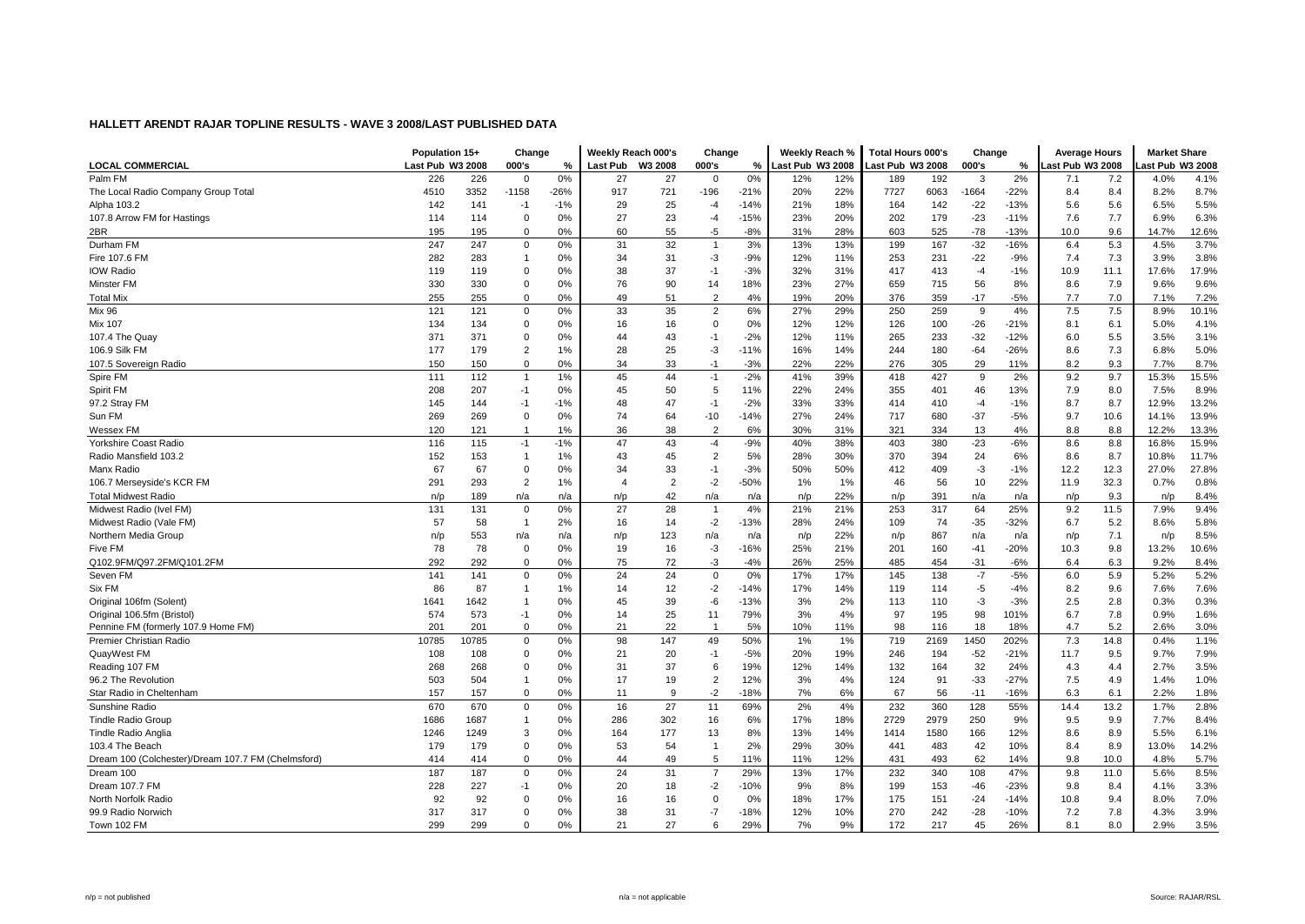|                                                    | Population 15+   |       | Change         |       | Weekly Reach 000's |                | Change         |        | Weekly Reach %   |     | <b>Total Hours 000's</b> |      | Change  |        | <b>Average Hours</b> |       | <b>Market Share</b> |       |
|----------------------------------------------------|------------------|-------|----------------|-------|--------------------|----------------|----------------|--------|------------------|-----|--------------------------|------|---------|--------|----------------------|-------|---------------------|-------|
| <b>LOCAL COMMERCIAL</b>                            | Last Pub W3 2008 |       | 000's          | %     | <b>Last Pub</b>    | W3 2008        | 000's          | %      | Last Pub W3 2008 |     | Last Pub W3 2008         |      | 000's   | %      | ast Pub W3 2008      |       | ast Pub W3 2008     |       |
| Palm FM                                            | 226              | 226   | $\mathbf 0$    | 0%    | 27                 | 27             | 0              | 0%     | 12%              | 12% | 189                      | 192  | 3       | 2%     | 7.1                  | 7.2   | 4.0%                | 4.1%  |
| The Local Radio Company Group Total                | 4510             | 3352  | $-1158$        | -26%  | 917                | 721            | $-196$         | $-21%$ | 20%              | 22% | 7727                     | 6063 | $-1664$ | $-22%$ | 8.4                  | 8.4   | 8.2%                | 8.7%  |
| Alpha 103.2                                        | 142              | 141   | $-1$           | $-1%$ | 29                 | 25             | $-4$           | $-14%$ | 21%              | 18% | 164                      | 142  | $-22$   | $-13%$ | 5.6                  | 5.6   | 6.5%                | 5.5%  |
| 107.8 Arrow FM for Hastings                        | 114              | 114   | $\Omega$       | 0%    | 27                 | 23             | $-4$           | $-15%$ | 23%              | 20% | 202                      | 179  | $-23$   | $-11%$ | 7.6                  | 7.7   | 6.9%                | 6.3%  |
| 2BR                                                | 195              | 195   | $\Omega$       | 0%    | 60                 | 55             | -5             | $-8%$  | 31%              | 28% | 603                      | 525  | $-78$   | $-13%$ | 10.0                 | 9.6   | 14.7%               | 12.6% |
| Durham FM                                          | 247              | 247   | $\mathbf 0$    | 0%    | 31                 | 32             | $\overline{1}$ | 3%     | 13%              | 13% | 199                      | 167  | $-32$   | $-16%$ | 6.4                  | 5.3   | 4.5%                | 3.7%  |
| Fire 107.6 FM                                      | 282              | 283   | -1             | 0%    | 34                 | 31             | $-3$           | $-9%$  | 12%              | 11% | 253                      | 231  | $-22$   | $-9%$  | 7.4                  | 7.3   | 3.9%                | 3.8%  |
| <b>IOW Radio</b>                                   | 119              | 119   | $\Omega$       | 0%    | 38                 | 37             | $-1$           | $-3%$  | 32%              | 31% | 417                      | 413  | $-4$    | $-1%$  | 10.9                 | 11.1  | 17.6%               | 17.9% |
| Minster FM                                         | 330              | 330   | $\mathbf 0$    | 0%    | 76                 | 90             | 14             | 18%    | 23%              | 27% | 659                      | 715  | 56      | 8%     | 8.6                  | 7.9   | 9.6%                | 9.6%  |
| <b>Total Mix</b>                                   | 255              | 255   | $\Omega$       | 0%    | 49                 | 51             | 2              | 4%     | 19%              | 20% | 376                      | 359  | $-17$   | $-5%$  | 7.7                  | $7.0$ | 7.1%                | 7.2%  |
| <b>Mix 96</b>                                      | 121              | 121   | $\mathbf 0$    | 0%    | 33                 | 35             | $\overline{2}$ | 6%     | 27%              | 29% | 250                      | 259  | 9       | 4%     | 7.5                  | 7.5   | 8.9%                | 10.1% |
| <b>Mix 107</b>                                     | 134              | 134   | $\Omega$       | 0%    | 16                 | 16             | $\Omega$       | 0%     | 12%              | 12% | 126                      | 100  | $-26$   | $-21%$ | 8.1                  | 6.1   | 5.0%                | 4.1%  |
| 107.4 The Quay                                     | 371              | 371   | $\mathbf 0$    | 0%    | 44                 | 43             | $-1$           | $-2%$  | 12%              | 11% | 265                      | 233  | $-32$   | $-12%$ | 6.0                  | 5.5   | 3.5%                | 3.1%  |
| 106.9 Silk FM                                      | 177              | 179   | $\overline{2}$ | 1%    | 28                 | 25             | -3             | $-11%$ | 16%              | 14% | 244                      | 180  | $-64$   | $-26%$ | 8.6                  | 7.3   | 6.8%                | 5.0%  |
| 107.5 Sovereign Radio                              | 150              | 150   | $\mathbf 0$    | 0%    | 34                 | 33             | $-1$           | $-3%$  | 22%              | 22% | 276                      | 305  | 29      | 11%    | 8.2                  | 9.3   | 7.7%                | 8.7%  |
| Spire FM                                           | 111              | 112   | $\overline{1}$ | 1%    | 45                 | 44             | $-1$           | $-2%$  | 41%              | 39% | 418                      | 427  | 9       | 2%     | 9.2                  | 9.7   | 15.3%               | 15.5% |
| Spirit FM                                          | 208              | 207   | $-1$           | 0%    | 45                 | 50             | 5              | 11%    | 22%              | 24% | 355                      | 401  | 46      | 13%    | 7.9                  | 8.0   | 7.5%                | 8.9%  |
| 97.2 Stray FM                                      | 145              | 144   | $-1$           | $-1%$ | 48                 | 47             | $-1$           | $-2%$  | 33%              | 33% | 414                      | 410  | $-4$    | $-1%$  | 8.7                  | 8.7   | 12.9%               | 13.2% |
| Sun FM                                             | 269              | 269   | $\mathbf 0$    | 0%    | 74                 | 64             | $-10$          | $-14%$ | 27%              | 24% | 717                      | 680  | $-37$   | $-5%$  | 9.7                  | 10.6  | 14.1%               | 13.9% |
| Wessex FM                                          | 120              | 121   | $\mathbf 1$    | 1%    | 36                 | 38             | 2              | 6%     | 30%              | 31% | 321                      | 334  | 13      | 4%     | 8.8                  | 8.8   | 12.2%               | 13.3% |
| Yorkshire Coast Radio                              | 116              | 115   | $-1$           | $-1%$ | 47                 | 43             | $-4$           | $-9%$  | 40%              | 38% | 403                      | 380  | $-23$   | $-6%$  | 8.6                  | 8.8   | 16.8%               | 15.9% |
| Radio Mansfield 103.2                              | 152              | 153   | $\overline{1}$ | 1%    | 43                 | 45             | $\overline{2}$ | 5%     | 28%              | 30% | 370                      | 394  | 24      | 6%     | 8.6                  | 8.7   | 10.8%               | 11.7% |
| Manx Radio                                         | 67               | 67    | $\mathbf 0$    | 0%    | 34                 | 33             | $-1$           | $-3%$  | 50%              | 50% | 412                      | 409  | -3      | $-1%$  | 12.2                 | 12.3  | 27.0%               | 27.8% |
| 106.7 Merseyside's KCR FM                          | 291              | 293   | $\overline{2}$ | 1%    | $\overline{4}$     | $\overline{2}$ | $-2$           | $-50%$ | 1%               | 1%  | 46                       | 56   | 10      | 22%    | 11.9                 | 32.3  | 0.7%                | 0.8%  |
| <b>Total Midwest Radio</b>                         | n/p              | 189   | n/a            | n/a   | n/p                | 42             | n/a            | n/a    | n/p              | 22% | n/p                      | 391  | n/a     | n/a    | n/p                  | 9.3   | n/p                 | 8.4%  |
| Midwest Radio (Ivel FM)                            | 131              | 131   | $\mathbf 0$    | 0%    | 27                 | 28             | $\overline{1}$ | 4%     | 21%              | 21% | 253                      | 317  | 64      | 25%    | 9.2                  | 11.5  | 7.9%                | 9.4%  |
| Midwest Radio (Vale FM)                            | 57               | 58    | $\overline{1}$ | 2%    | 16                 | 14             | $-2$           | $-13%$ | 28%              | 24% | 109                      | 74   | $-35$   | $-32%$ | 6.7                  | 5.2   | 8.6%                | 5.8%  |
| Northern Media Group                               | n/p              | 553   | n/a            | n/a   | n/p                | 123            | n/a            | n/a    | n/p              | 22% | n/p                      | 867  | n/a     | n/a    | n/p                  | 7.1   | n/p                 | 8.5%  |
| Five FM                                            | 78               | 78    | $\Omega$       | 0%    | 19                 | 16             | $-3$           | $-16%$ | 25%              | 21% | 201                      | 160  | $-41$   | $-20%$ | 10.3                 | 9.8   | 13.2%               | 10.6% |
| Q102.9FM/Q97.2FM/Q101.2FM                          | 292              | 292   | $\Omega$       | 0%    | 75                 | 72             | $-3$           | $-4%$  | 26%              | 25% | 485                      | 454  | $-31$   | $-6%$  | 6.4                  | 6.3   | 9.2%                | 8.4%  |
| Seven FM                                           | 141              | 141   | $\Omega$       | 0%    | 24                 | 24             | $\mathbf 0$    | 0%     | 17%              | 17% | 145                      | 138  | $-7$    | $-5%$  | 6.0                  | 5.9   | 5.2%                | 5.2%  |
| Six FM                                             | 86               | 87    | $\mathbf 1$    | 1%    | 14                 | 12             | $-2$           | $-14%$ | 17%              | 14% | 119                      | 114  | -5      | $-4%$  | 8.2                  | 9.6   | 7.6%                | 7.6%  |
| Original 106fm (Solent)                            | 1641             | 1642  | -1             | 0%    | 45                 | 39             | -6             | $-13%$ | 3%               | 2%  | 113                      | 110  | $-3$    | $-3%$  | 2.5                  | 2.8   | 0.3%                | 0.3%  |
| Original 106.5fm (Bristol)                         | 574              | 573   | $-1$           | 0%    | 14                 | 25             | 11             | 79%    | 3%               | 4%  | 97                       | 195  | 98      | 101%   | 6.7                  | 7.8   | 0.9%                | 1.6%  |
| Pennine FM (formerly 107.9 Home FM)                | 201              | 201   | $\Omega$       | 0%    | 21                 | 22             | -1             | 5%     | 10%              | 11% | 98                       | 116  | 18      | 18%    | 4.7                  | 5.2   | 2.6%                | 3.0%  |
| Premier Christian Radio                            | 10785            | 10785 | $\mathbf 0$    | 0%    | 98                 | 147            | 49             | 50%    | 1%               | 1%  | 719                      | 2169 | 1450    | 202%   | 7.3                  | 14.8  | 0.4%                | 1.1%  |
| QuayWest FM                                        | 108              | 108   | $\mathbf 0$    | 0%    | 21                 | 20             | $-1$           | $-5%$  | 20%              | 19% | 246                      | 194  | $-52$   | $-21%$ | 11.7                 | 9.5   | 9.7%                | 7.9%  |
| Reading 107 FM                                     | 268              | 268   | $\mathbf 0$    | 0%    | 31                 | 37             | 6              | 19%    | 12%              | 14% | 132                      | 164  | 32      | 24%    | 4.3                  | 4.4   | 2.7%                | 3.5%  |
| 96.2 The Revolution                                | 503              | 504   | $\mathbf{1}$   | 0%    | 17                 | 19             | $\overline{2}$ | 12%    | 3%               | 4%  | 124                      | 91   | $-33$   | $-27%$ | 7.5                  | 4.9   | 1.4%                | 1.0%  |
| Star Radio in Cheltenham                           | 157              | 157   | $\mathbf 0$    | 0%    | 11                 | 9              | $-2$           | $-18%$ | 7%               | 6%  | 67                       | 56   | $-11$   | $-16%$ | 6.3                  | 6.1   | 2.2%                | 1.8%  |
| Sunshine Radio                                     | 670              | 670   | $\mathbf 0$    | 0%    | 16                 | 27             | 11             | 69%    | 2%               | 4%  | 232                      | 360  | 128     | 55%    | 14.4                 | 13.2  | 1.7%                | 2.8%  |
| <b>Tindle Radio Group</b>                          | 1686             | 1687  | $\mathbf{1}$   | 0%    | 286                | 302            | 16             | 6%     | 17%              | 18% | 2729                     | 2979 | 250     | 9%     | 9.5                  | 9.9   | 7.7%                | 8.4%  |
| <b>Tindle Radio Anglia</b>                         | 1246             | 1249  | 3              | 0%    | 164                | 177            | 13             | 8%     | 13%              | 14% | 1414                     | 1580 | 166     | 12%    | 8.6                  | 8.9   | 5.5%                | 6.1%  |
| 103.4 The Beach                                    | 179              | 179   | $\mathbf 0$    | 0%    | 53                 | 54             | $\mathbf{1}$   | 2%     | 29%              | 30% | 441                      | 483  | 42      | 10%    | 8.4                  | 8.9   | 13.0%               | 14.2% |
| Dream 100 (Colchester)/Dream 107.7 FM (Chelmsford) | 414              | 414   | $\mathbf 0$    | 0%    | 44                 | 49             | 5              | 11%    | 11%              | 12% | 431                      | 493  | 62      | 14%    | 9.8                  | 10.0  | 4.8%                | 5.7%  |
| Dream 100                                          | 187              | 187   | $\mathbf 0$    | 0%    | 24                 | 31             | $\overline{7}$ | 29%    | 13%              | 17% | 232                      | 340  | 108     | 47%    | 9.8                  | 11.0  | 5.6%                | 8.5%  |
| Dream 107.7 FM                                     | 228              | 227   | $-1$           | 0%    | 20                 | 18             | $-2$           | $-10%$ | 9%               | 8%  | 199                      | 153  | $-46$   | $-23%$ | 9.8                  | 8.4   | 4.1%                | 3.3%  |
| North Norfolk Radio                                | 92               | 92    | $\Omega$       | 0%    | 16                 | 16             | $\Omega$       | 0%     | 18%              | 17% | 175                      | 151  | $-24$   | $-14%$ | 10.8                 | 9.4   | 8.0%                | 7.0%  |
| 99.9 Radio Norwich                                 | 317              | 317   | $\Omega$       | 0%    | 38                 | 31             | $-7$           | $-18%$ | 12%              | 10% | 270                      | 242  | $-28$   | $-10%$ | 7.2                  | 7.8   | 4.3%                | 3.9%  |
|                                                    | 299              | 299   | $\Omega$       | 0%    | 21                 | 27             | 6              | 29%    |                  | 9%  | 172                      | 217  | 45      | 26%    |                      | 8.0   | 2.9%                | 3.5%  |
| Town 102 FM                                        |                  |       |                |       |                    |                |                |        | 7%               |     |                          |      |         |        | 8.1                  |       |                     |       |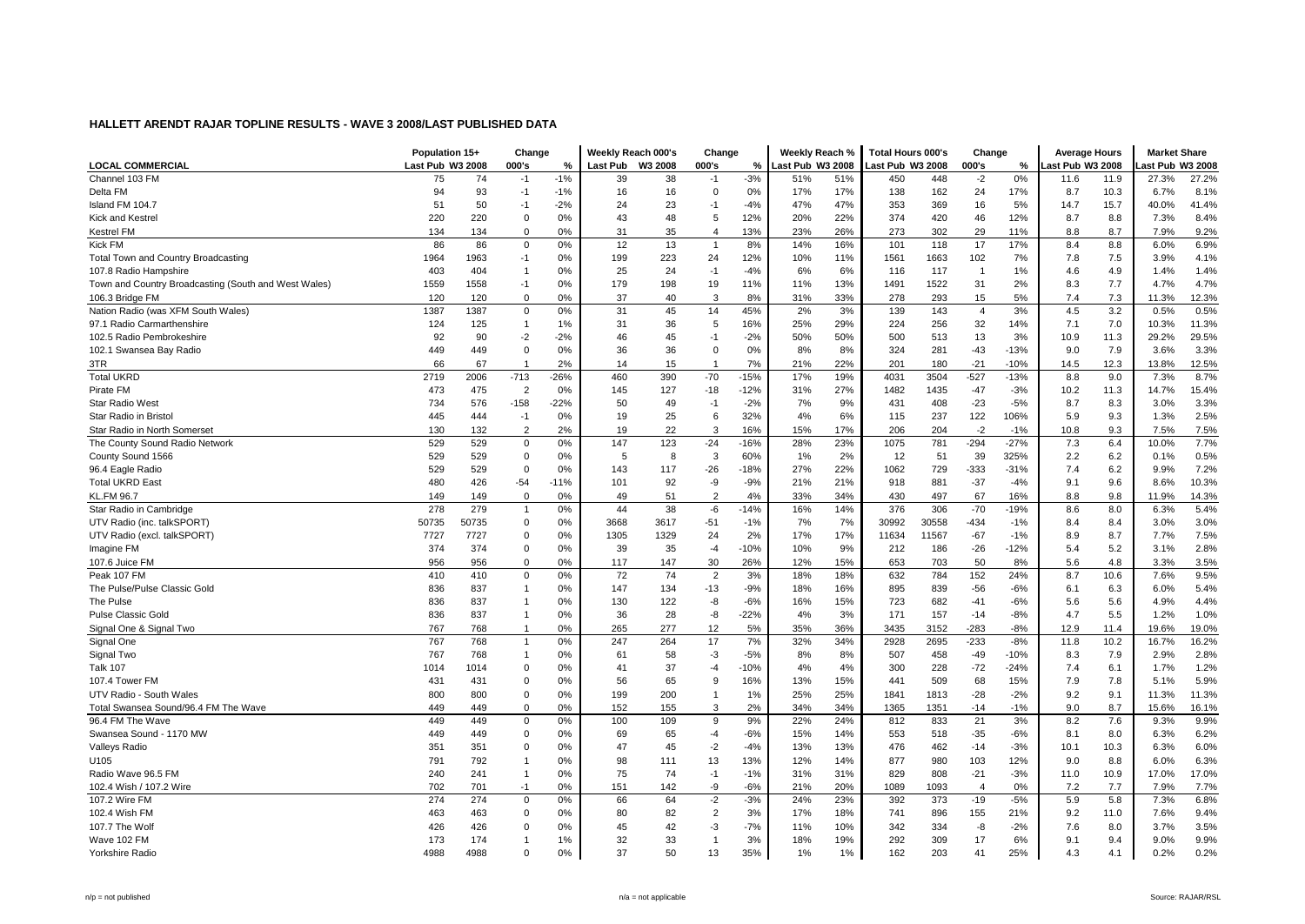|                                                      | Population 15+   |            | Change            |        | Weekly Reach 000's |         | Change         |              | Weekly Reach %   |     | <b>Total Hours 000's</b> |       | Change         |        | <b>Average Hours</b> |      | <b>Market Share</b> |               |
|------------------------------------------------------|------------------|------------|-------------------|--------|--------------------|---------|----------------|--------------|------------------|-----|--------------------------|-------|----------------|--------|----------------------|------|---------------------|---------------|
| <b>LOCAL COMMERCIAL</b>                              | Last Pub W3 2008 |            | 000's             | %      | <b>Last Pub</b>    | W3 2008 | 000's          | %            | Last Pub W3 2008 |     | ast Pub W3 2008          |       | 000's          | %      | ast Pub W3 2008      |      | ast Pub W3 2008     |               |
| Channel 103 FM                                       | 75               | 74         | $-1$              | $-1%$  | 39                 | 38      | $-1$           | $-3%$        | 51%              | 51% | 450                      | 448   | $-2$           | 0%     | 11.6                 | 11.9 | 27.3%               | 27.2%         |
| Delta FM                                             | 94               | 93         | $-1$              | $-1%$  | 16                 | 16      | $\mathbf 0$    | 0%           | 17%              | 17% | 138                      | 162   | 24             | 17%    | 8.7                  | 10.3 | 6.7%                | 8.1%          |
| Island FM 104.7                                      | 51               | 50         | $-1$              | $-2%$  | 24                 | 23      | $-1$           | $-4%$        | 47%              | 47% | 353                      | 369   | 16             | 5%     | 14.7                 | 15.7 | 40.0%               | 41.4%         |
| Kick and Kestrel                                     | 220              | 220        | $\mathbf 0$       | 0%     | 43                 | 48      | 5              | 12%          | 20%              | 22% | 374                      | 420   | 46             | 12%    | 8.7                  | 8.8  | 7.3%                | 8.4%          |
| <b>Kestrel FM</b>                                    | 134              | 134        | $\Omega$          | 0%     | 31                 | 35      | $\overline{4}$ | 13%          | 23%              | 26% | 273                      | 302   | 29             | 11%    | 8.8                  | 8.7  | 7.9%                | 9.2%          |
| <b>Kick FM</b>                                       | 86               | 86         | $\Omega$          | 0%     | 12                 | 13      | $\overline{1}$ | 8%           | 14%              | 16% | 101                      | 118   | 17             | 17%    | 8.4                  | 8.8  | 6.0%                | 6.9%          |
| Total Town and Country Broadcasting                  | 1964             | 1963       | $-1$              | 0%     | 199                | 223     | 24             | 12%          | 10%              | 11% | 1561                     | 1663  | 102            | 7%     | 7.8                  | 7.5  | 3.9%                | 4.1%          |
| 107.8 Radio Hampshire                                | 403              | 404        | $\mathbf{1}$      | 0%     | 25                 | 24      | $-1$           | $-4%$        | 6%               | 6%  | 116                      | 117   | $\overline{1}$ | 1%     | 4.6                  | 4.9  | 1.4%                | 1.4%          |
| Town and Country Broadcasting (South and West Wales) | 1559             | 1558       | $-1$              | 0%     | 179                | 198     | 19             | 11%          | 11%              | 13% | 1491                     | 1522  | 31             | 2%     | 8.3                  | 7.7  | 4.7%                | 4.7%          |
| 106.3 Bridge FM                                      | 120              | 120        | $\Omega$          | 0%     | 37                 | 40      | 3              | 8%           | 31%              | 33% | 278                      | 293   | 15             | 5%     | 7.4                  | 7.3  | 11.3%               | 12.3%         |
| Nation Radio (was XFM South Wales)                   | 1387             | 1387       | $\Omega$          | 0%     | 31                 | 45      | 14             | 45%          | 2%               | 3%  | 139                      | 143   | $\overline{4}$ | 3%     | 4.5                  | 3.2  | 0.5%                | 0.5%          |
| 97.1 Radio Carmarthenshire                           | 124              | 125        | $\mathbf{1}$      | 1%     | 31                 | 36      | 5              | 16%          | 25%              | 29% | 224                      | 256   | 32             | 14%    | 7.1                  | 7.0  | 10.3%               | 11.3%         |
| 102.5 Radio Pembrokeshire                            | 92               | 90         | $-2$              | $-2%$  | 46                 | 45      | $-1$           | $-2%$        | 50%              | 50% | 500                      | 513   | 13             | 3%     | 10.9                 | 11.3 | 29.2%               | 29.5%         |
| 102.1 Swansea Bay Radio                              | 449              | 449        | $\Omega$          | 0%     | 36                 | 36      | $\Omega$       | 0%           | 8%               | 8%  | 324                      | 281   | $-43$          | $-13%$ | 9.0                  | 7.9  | 3.6%                | 3.3%          |
| 3TR                                                  | 66               | 67         | -1                | 2%     | 14                 | 15      | -1             | 7%           | 21%              | 22% | 201                      | 180   | $-21$          | $-10%$ | 14.5                 | 12.3 | 13.8%               | 12.5%         |
| <b>Total UKRD</b>                                    | 2719             | 2006       | $-713$            | $-26%$ | 460                | 390     | $-70$          | $-15%$       | 17%              | 19% | 4031                     | 3504  | $-527$         | $-13%$ | 8.8                  | 9.0  | 7.3%                | 8.7%          |
| Pirate FM                                            | 473              | 475        | $\overline{2}$    | 0%     | 145                | 127     | $-18$          | $-12%$       | 31%              | 27% | 1482                     | 1435  | $-47$          | $-3%$  | 10.2                 | 11.3 | 14.7%               | 15.4%         |
| <b>Star Radio West</b>                               | 734              | 576        | $-158$            | $-22%$ | 50                 | 49      | $-1$           | $-2%$        | 7%               | 9%  | 431                      | 408   | $-23$          | $-5%$  | 8.7                  | 8.3  | 3.0%                | 3.3%          |
| Star Radio in Bristol                                | 445              | 444        | $-1$              | 0%     | 19                 | 25      | 6              | 32%          | 4%               | 6%  | 115                      | 237   | 122            | 106%   | 5.9                  | 9.3  | 1.3%                | 2.5%          |
| Star Radio in North Somerset                         | 130              | 132        | $\overline{2}$    | 2%     | 19                 | 22      | 3              | 16%          | 15%              | 17% | 206                      | 204   | $-2$           | $-1%$  | 10.8                 | 9.3  | 7.5%                | 7.5%          |
| The County Sound Radio Network                       | 529              | 529        | $\Omega$          | $0\%$  | 147                | 123     | $-24$          | $-16%$       | 28%              | 23% | 1075                     | 781   | $-294$         | $-27%$ | 7.3                  | 6.4  | 10.0%               | 7.7%          |
|                                                      | 529              | 529        | $\mathbf 0$       | 0%     | 5                  | 8       | 3              | 60%          | 1%               | 2%  | 12                       | 51    | 39             | 325%   | 2.2                  | 6.2  | 0.1%                | 0.5%          |
| County Sound 1566                                    | 529              | 529        | $\mathbf 0$       | 0%     | 143                | 117     | $-26$          | $-18%$       | 27%              | 22% | 1062                     | 729   | $-333$         | $-31%$ | 7.4                  | 6.2  | 9.9%                | 7.2%          |
| 96.4 Eagle Radio<br><b>Total UKRD East</b>           | 480              |            |                   | $-11%$ | 101                |         | -9             | $-9%$        |                  | 21% | 918                      |       | $-37$          | $-4%$  | 9.1                  | 9.6  | 8.6%                | 10.3%         |
|                                                      |                  | 426        | $-54$<br>$\Omega$ |        |                    | 92      | $\overline{2}$ |              | 21%              |     |                          | 881   |                |        |                      |      |                     |               |
| <b>KL.FM 96.7</b>                                    | 149              | 149<br>279 | $\mathbf{1}$      | 0%     | 49<br>44           | 51      |                | 4%<br>$-14%$ | 33%              | 34% | 430                      | 497   | 67             | 16%    | 8.8                  | 9.8  | 11.9%               | 14.3%<br>5.4% |
| Star Radio in Cambridge                              | 278              |            |                   | 0%     |                    | 38      | -6             |              | 16%              | 14% | 376                      | 306   | $-70$          | $-19%$ | 8.6                  | 8.0  | 6.3%                |               |
| UTV Radio (inc. talkSPORT)                           | 50735            | 50735      | $\mathbf 0$       | 0%     | 3668               | 3617    | $-51$          | $-1%$        | 7%               | 7%  | 30992                    | 30558 | $-434$         | $-1%$  | 8.4                  | 8.4  | 3.0%                | 3.0%          |
| UTV Radio (excl. talkSPORT)                          | 7727             | 7727       | $\mathbf 0$       | 0%     | 1305               | 1329    | 24             | 2%           | 17%              | 17% | 11634                    | 11567 | $-67$          | $-1%$  | 8.9                  | 8.7  | 7.7%                | 7.5%          |
| Imagine FM                                           | 374              | 374        | $\Omega$          | 0%     | 39                 | 35      | $-4$           | $-10%$       | 10%              | 9%  | 212                      | 186   | $-26$          | $-12%$ | 5.4                  | 5.2  | 3.1%                | 2.8%          |
| 107.6 Juice FM                                       | 956              | 956        | $\mathbf 0$       | 0%     | 117                | 147     | 30             | 26%          | 12%              | 15% | 653                      | 703   | 50             | 8%     | 5.6                  | 4.8  | 3.3%                | 3.5%          |
| Peak 107 FM                                          | 410              | 410        | $\mathbf 0$       | 0%     | 72                 | 74      | $\overline{2}$ | 3%           | 18%              | 18% | 632                      | 784   | 152            | 24%    | 8.7                  | 10.6 | 7.6%                | 9.5%          |
| The Pulse/Pulse Classic Gold                         | 836              | 837        | $\mathbf{1}$      | 0%     | 147                | 134     | $-13$          | $-9%$        | 18%              | 16% | 895                      | 839   | $-56$          | $-6%$  | 6.1                  | 6.3  | 6.0%                | 5.4%          |
| The Pulse                                            | 836              | 837        | $\mathbf{1}$      | 0%     | 130                | 122     | -8             | $-6%$        | 16%              | 15% | 723                      | 682   | $-41$          | $-6%$  | 5.6                  | 5.6  | 4.9%                | 4.4%          |
| <b>Pulse Classic Gold</b>                            | 836              | 837        | $\mathbf{1}$      | 0%     | 36                 | 28      | -8             | $-22%$       | 4%               | 3%  | 171                      | 157   | $-14$          | $-8%$  | 4.7                  | 5.5  | 1.2%                | 1.0%          |
| Signal One & Signal Two                              | 767              | 768        | $\mathbf{1}$      | 0%     | 265                | 277     | 12             | 5%           | 35%              | 36% | 3435                     | 3152  | $-283$         | $-8%$  | 12.9                 | 11.4 | 19.6%               | 19.0%         |
| Signal One                                           | 767              | 768        | $\mathbf{1}$      | 0%     | 247                | 264     | 17             | 7%           | 32%              | 34% | 2928                     | 2695  | $-233$         | $-8%$  | 11.8                 | 10.2 | 16.7%               | 16.2%         |
| Signal Two                                           | 767              | 768        | $\mathbf{1}$      | 0%     | 61                 | 58      | $-3$           | $-5%$        | 8%               | 8%  | 507                      | 458   | $-49$          | $-10%$ | 8.3                  | 7.9  | 2.9%                | 2.8%          |
| <b>Talk 107</b>                                      | 1014             | 1014       | $\mathbf 0$       | 0%     | 41                 | 37      | $-4$           | $-10%$       | 4%               | 4%  | 300                      | 228   | $-72$          | $-24%$ | 7.4                  | 6.1  | 1.7%                | 1.2%          |
| 107.4 Tower FM                                       | 431              | 431        | $\Omega$          | 0%     | 56                 | 65      | 9              | 16%          | 13%              | 15% | 441                      | 509   | 68             | 15%    | 7.9                  | 7.8  | 5.1%                | 5.9%          |
| UTV Radio - South Wales                              | 800              | 800        | $\mathbf 0$       | 0%     | 199                | 200     | $\mathbf{1}$   | 1%           | 25%              | 25% | 1841                     | 1813  | $-28$          | $-2%$  | 9.2                  | 9.1  | 11.3%               | 11.3%         |
| Total Swansea Sound/96.4 FM The Wave                 | 449              | 449        | $\Omega$          | 0%     | 152                | 155     | 3              | 2%           | 34%              | 34% | 1365                     | 1351  | $-14$          | $-1%$  | 9.0                  | 8.7  | 15.6%               | 16.1%         |
| 96.4 FM The Wave                                     | 449              | 449        | $\Omega$          | 0%     | 100                | 109     | 9              | 9%           | 22%              | 24% | 812                      | 833   | 21             | 3%     | 8.2                  | 7.6  | 9.3%                | 9.9%          |
| Swansea Sound - 1170 MW                              | 449              | 449        | $\mathbf 0$       | 0%     | 69                 | 65      | $-4$           | $-6%$        | 15%              | 14% | 553                      | 518   | $-35$          | $-6%$  | 8.1                  | 8.0  | 6.3%                | 6.2%          |
| Valleys Radio                                        | 351              | 351        | $\Omega$          | 0%     | 47                 | 45      | $-2$           | $-4%$        | 13%              | 13% | 476                      | 462   | $-14$          | $-3%$  | 10.1                 | 10.3 | 6.3%                | 6.0%          |
| U105                                                 | 791              | 792        | $\mathbf{1}$      | 0%     | 98                 | 111     | 13             | 13%          | 12%              | 14% | 877                      | 980   | 103            | 12%    | 9.0                  | 8.8  | 6.0%                | 6.3%          |
| Radio Wave 96.5 FM                                   | 240              | 241        | $\mathbf{1}$      | 0%     | 75                 | 74      | $-1$           | $-1%$        | 31%              | 31% | 829                      | 808   | $-21$          | $-3%$  | 11.0                 | 10.9 | 17.0%               | 17.0%         |
| 102.4 Wish / 107.2 Wire                              | 702              | 701        | $-1$              | 0%     | 151                | 142     | -9             | $-6%$        | 21%              | 20% | 1089                     | 1093  | $\overline{4}$ | 0%     | 7.2                  | 7.7  | 7.9%                | 7.7%          |
| 107.2 Wire FM                                        | 274              | 274        | $\mathbf 0$       | 0%     | 66                 | 64      | $-2$           | $-3%$        | 24%              | 23% | 392                      | 373   | $-19$          | $-5%$  | 5.9                  | 5.8  | 7.3%                | 6.8%          |
| 102.4 Wish FM                                        | 463              | 463        | $\Omega$          | 0%     | 80                 | 82      | $\overline{2}$ | 3%           | 17%              | 18% | 741                      | 896   | 155            | 21%    | 9.2                  | 11.0 | 7.6%                | 9.4%          |
| 107.7 The Wolf                                       | 426              | 426        | $\Omega$          | 0%     | 45                 | 42      | -3             | $-7%$        | 11%              | 10% | 342                      | 334   | -8             | $-2%$  | 7.6                  | 8.0  | 3.7%                | 3.5%          |
| Wave 102 FM                                          | 173              | 174        | $\mathbf{1}$      | 1%     | 32                 | 33      | $\mathbf{1}$   | 3%           | 18%              | 19% | 292                      | 309   | 17             | 6%     | 9.1                  | 9.4  | 9.0%                | 9.9%          |
| <b>Yorkshire Radio</b>                               | 4988             | 4988       | $\Omega$          | 0%     | 37                 | 50      | 13             | 35%          | 1%               | 1%  | 162                      | 203   | 41             | 25%    | 4.3                  | 4.1  | 0.2%                | 0.2%          |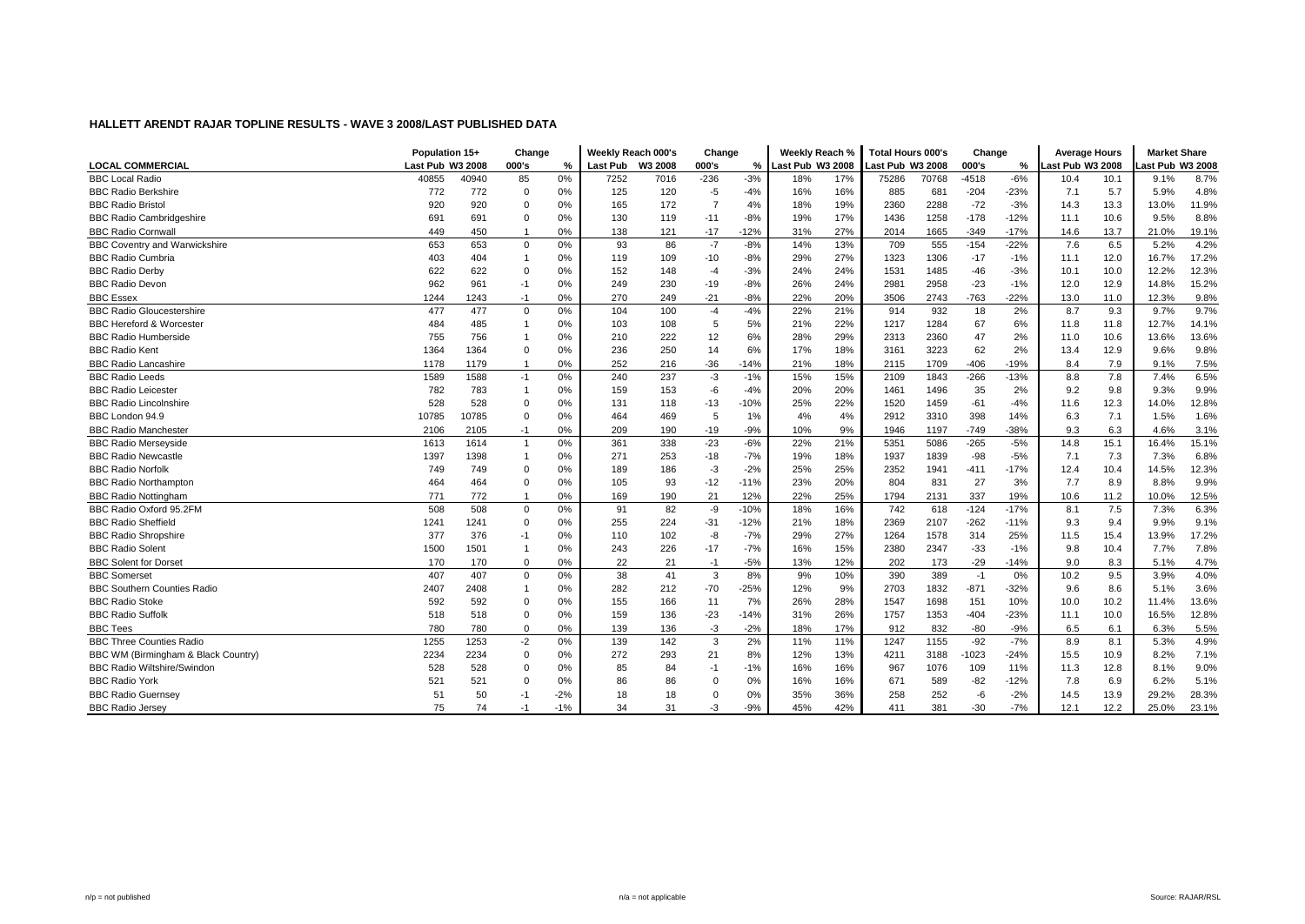|                                      | Population 15+   |       | Change         |               | Weekly Reach 000's |      | Change         |        | Weekly Reach %   |     | <b>Total Hours 000's</b> |       | Change  |        | <b>Average Hours</b> |      | <b>Market Share</b> |       |
|--------------------------------------|------------------|-------|----------------|---------------|--------------------|------|----------------|--------|------------------|-----|--------------------------|-------|---------|--------|----------------------|------|---------------------|-------|
| <b>LOCAL COMMERCIAL</b>              | Last Pub W3 2008 |       | 000's          | $\frac{0}{2}$ | Last Pub W3 2008   |      | 000's          | %      | Last Pub W3 2008 |     | Last Pub W3 2008         |       | 000's   | %      | Last Pub W3 2008     |      | ast Pub W3 2008     |       |
| <b>BBC Local Radio</b>               | 40855            | 40940 | 85             | 0%            | 7252               | 7016 | $-236$         | $-3%$  | 18%              | 17% | 75286                    | 70768 | $-4518$ | $-6%$  | 10.4                 | 10.1 | 9.1%                | 8.7%  |
| <b>BBC Radio Berkshire</b>           | 772              | 772   | $\Omega$       | 0%            | 125                | 120  | $-5$           | $-4%$  | 16%              | 16% | 885                      | 681   | $-204$  | $-23%$ | 7.1                  | 5.7  | 5.9%                | 4.8%  |
| <b>BBC Radio Bristol</b>             | 920              | 920   | $\Omega$       | 0%            | 165                | 172  | $\overline{7}$ | 4%     | 18%              | 19% | 2360                     | 2288  | $-72$   | $-3%$  | 14.3                 | 13.3 | 13.0%               | 11.9% |
| <b>BBC Radio Cambridgeshire</b>      | 691              | 691   | $\Omega$       | 0%            | 130                | 119  | $-11$          | $-8%$  | 19%              | 17% | 1436                     | 1258  | $-178$  | $-12%$ | 11.1                 | 10.6 | 9.5%                | 8.8%  |
| <b>BBC Radio Cornwal</b>             | 449              | 450   | $\mathbf{1}$   | 0%            | 138                | 121  | $-17$          | $-12%$ | 31%              | 27% | 2014                     | 1665  | $-349$  | $-17%$ | 14.6                 | 13.7 | 21.0%               | 19.1% |
| <b>BBC Coventry and Warwickshire</b> | 653              | 653   | $\mathbf 0$    | 0%            | 93                 | 86   | $-7$           | $-8%$  | 14%              | 13% | 709                      | 555   | $-154$  | $-22%$ | 7.6                  | 6.5  | 5.2%                | 4.2%  |
| <b>BBC Radio Cumbria</b>             | 403              | 404   | -1             | 0%            | 119                | 109  | $-10$          | $-8%$  | 29%              | 27% | 1323                     | 1306  | $-17$   | $-1%$  | 11.1                 | 12.0 | 16.7%               | 17.2% |
| <b>BBC Radio Derby</b>               | 622              | 622   | $\Omega$       | 0%            | 152                | 148  | $-4$           | $-3%$  | 24%              | 24% | 1531                     | 1485  | $-46$   | $-3%$  | 10.1                 | 10.0 | 12.2%               | 12.3% |
| <b>BBC Radio Devon</b>               | 962              | 961   | $-1$           | 0%            | 249                | 230  | $-19$          | $-8%$  | 26%              | 24% | 2981                     | 2958  | $-23$   | $-1%$  | 12.0                 | 12.9 | 14.8%               | 15.2% |
| <b>BBC Essex</b>                     | 1244             | 1243  | $-1$           | 0%            | 270                | 249  | $-21$          | $-8%$  | 22%              | 20% | 3506                     | 2743  | -763    | $-22%$ | 13.0                 | 11.0 | 12.3%               | 9.8%  |
| <b>BBC Radio Gloucestershire</b>     | 477              | 477   | $\mathbf 0$    | 0%            | 104                | 100  | $-4$           | $-4%$  | 22%              | 21% | 914                      | 932   | 18      | 2%     | 8.7                  | 9.3  | 9.7%                | 9.7%  |
| <b>BBC Hereford &amp; Worcester</b>  | 484              | 485   | $\mathbf{1}$   | 0%            | 103                | 108  | 5              | 5%     | 21%              | 22% | 1217                     | 1284  | 67      | 6%     | 11.8                 | 11.8 | 12.7%               | 14.1% |
| <b>BBC Radio Humberside</b>          | 755              | 756   |                | 0%            | 210                | 222  | 12             | 6%     | 28%              | 29% | 2313                     | 2360  | 47      | 2%     | 11.0                 | 10.6 | 13.6%               | 13.6% |
| <b>BBC Radio Kent</b>                | 1364             | 1364  | $\mathbf 0$    | 0%            | 236                | 250  | 14             | 6%     | 17%              | 18% | 3161                     | 3223  | 62      | 2%     | 13.4                 | 12.9 | 9.6%                | 9.8%  |
| <b>BBC Radio Lancashire</b>          | 1178             | 1179  | $\mathbf{1}$   | 0%            | 252                | 216  | $-36$          | $-14%$ | 21%              | 18% | 2115                     | 1709  | $-406$  | -19%   | 8.4                  | 7.9  | 9.1%                | 7.5%  |
| <b>BBC Radio Leeds</b>               | 1589             | 1588  | $-1$           | 0%            | 240                | 237  | $-3$           | $-1%$  | 15%              | 15% | 2109                     | 1843  | $-266$  | $-13%$ | 8.8                  | 7.8  | 7.4%                | 6.5%  |
| <b>BBC Radio Leicester</b>           | 782              | 783   | $\overline{1}$ | 0%            | 159                | 153  | -6             | $-4%$  | 20%              | 20% | 1461                     | 1496  | 35      | 2%     | 9.2                  | 9.8  | 9.3%                | 9.9%  |
| <b>BBC Radio Lincolnshire</b>        | 528              | 528   | $\Omega$       | 0%            | 131                | 118  | $-13$          | $-10%$ | 25%              | 22% | 1520                     | 1459  | $-61$   | $-4%$  | 11.6                 | 12.3 | 14.0%               | 12.8% |
| BBC London 94.9                      | 10785            | 10785 | $\Omega$       | 0%            | 464                | 469  | 5              | 1%     | 4%               | 4%  | 2912                     | 3310  | 398     | 14%    | 6.3                  | 7.1  | 1.5%                | 1.6%  |
| <b>BBC Radio Manchester</b>          | 2106             | 2105  | $-1$           | 0%            | 209                | 190  | $-19$          | $-9%$  | 10%              | 9%  | 1946                     | 1197  | $-749$  | $-38%$ | 9.3                  | 6.3  | 4.6%                | 3.1%  |
| <b>BBC Radio Merseyside</b>          | 1613             | 1614  | $\mathbf{1}$   | 0%            | 361                | 338  | $-23$          | $-6%$  | 22%              | 21% | 5351                     | 5086  | $-265$  | $-5%$  | 14.8                 | 15.1 | 16.4%               | 15.1% |
| <b>BBC Radio Newcastle</b>           | 1397             | 1398  | $\mathbf{1}$   | 0%            | 271                | 253  | $-18$          | $-7%$  | 19%              | 18% | 1937                     | 1839  | $-98$   | $-5%$  | 7.1                  | 7.3  | 7.3%                | 6.8%  |
| <b>BBC Radio Norfolk</b>             | 749              | 749   | $\mathbf 0$    | 0%            | 189                | 186  | $-3$           | $-2%$  | 25%              | 25% | 2352                     | 1941  | $-411$  | $-17%$ | 12.4                 | 10.4 | 14.5%               | 12.3% |
| <b>BBC Radio Northamptor</b>         | 464              | 464   | $\Omega$       | 0%            | 105                | 93   | $-12$          | $-11%$ | 23%              | 20% | 804                      | 831   | 27      | 3%     | 7.7                  | 8.9  | 8.8%                | 9.9%  |
| <b>BBC Radio Nottingham</b>          | 771              | 772   | $\mathbf{1}$   | 0%            | 169                | 190  | 21             | 12%    | 22%              | 25% | 1794                     | 2131  | 337     | 19%    | 10.6                 | 11.2 | 10.0%               | 12.5% |
| BBC Radio Oxford 95.2FM              | 508              | 508   | $\Omega$       | 0%            | 91                 | 82   | -9             | $-10%$ | 18%              | 16% | 742                      | 618   | $-124$  | $-17%$ | 8.1                  | 7.5  | 7.3%                | 6.3%  |
| <b>BBC Radio Sheffield</b>           | 1241             | 1241  | $\mathbf 0$    | 0%            | 255                | 224  | $-31$          | $-12%$ | 21%              | 18% | 2369                     | 2107  | $-262$  | $-11%$ | 9.3                  | 9.4  | 9.9%                | 9.1%  |
| <b>BBC Radio Shropshire</b>          | 377              | 376   | $-1$           | 0%            | 110                | 102  | -8             | $-7%$  | 29%              | 27% | 1264                     | 1578  | 314     | 25%    | 11.5                 | 15.4 | 13.9%               | 17.2% |
| <b>BBC Radio Solent</b>              | 1500             | 1501  | -1             | 0%            | 243                | 226  | $-17$          | $-7%$  | 16%              | 15% | 2380                     | 2347  | $-33$   | $-1%$  | 9.8                  | 10.4 | 7.7%                | 7.8%  |
| <b>BBC Solent for Dorset</b>         | 170              | 170   | $\Omega$       | 0%            | 22                 | 21   | $-1$           | $-5%$  | 13%              | 12% | 202                      | 173   | $-29$   | $-14%$ | 9.0                  | 8.3  | 5.1%                | 4.7%  |
| <b>BBC Somerset</b>                  | 407              | 407   | $\Omega$       | 0%            | 38                 | 41   | 3              | 8%     | 9%               | 10% | 390                      | 389   | $-1$    | 0%     | 10.2                 | 9.5  | 3.9%                | 4.0%  |
| <b>BBC Southern Counties Radio</b>   | 2407             | 2408  | $\mathbf{1}$   | 0%            | 282                | 212  | $-70$          | $-25%$ | 12%              | 9%  | 2703                     | 1832  | $-871$  | $-32%$ | 9.6                  | 8.6  | 5.1%                | 3.6%  |
| <b>BBC Radio Stoke</b>               | 592              | 592   | $\Omega$       | 0%            | 155                | 166  | 11             | 7%     | 26%              | 28% | 1547                     | 1698  | 151     | 10%    | 10.0                 | 10.2 | 11.4%               | 13.6% |
| <b>BBC Radio Suffolk</b>             | 518              | 518   | $\mathbf 0$    | 0%            | 159                | 136  | $-23$          | $-14%$ | 31%              | 26% | 1757                     | 1353  | $-404$  | $-23%$ | 11.1                 | 10.0 | 16.5%               | 12.8% |
| <b>BBC Tees</b>                      | 780              | 780   | $\Omega$       | 0%            | 139                | 136  | $-3$           | $-2%$  | 18%              | 17% | 912                      | 832   | $-80$   | $-9%$  | 6.5                  | 6.1  | 6.3%                | 5.5%  |
| <b>BBC Three Counties Radio</b>      | 1255             | 1253  | $-2$           | 0%            | 139                | 142  | 3              | 2%     | 11%              | 11% | 1247                     | 1155  | $-92$   | $-7%$  | 8.9                  | 8.1  | 5.3%                | 4.9%  |
| BBC WM (Birmingham & Black Country)  | 2234             | 2234  | $\Omega$       | 0%            | 272                | 293  | 21             | 8%     | 12%              | 13% | 4211                     | 3188  | $-1023$ | $-24%$ | 15.5                 | 10.9 | 8.2%                | 7.1%  |
| <b>BBC Radio Wiltshire/Swindon</b>   | 528              | 528   | $\Omega$       | 0%            | 85                 | 84   | $-1$           | $-1%$  | 16%              | 16% | 967                      | 1076  | 109     | 11%    | 11.3                 | 12.8 | 8.1%                | 9.0%  |
| <b>BBC Radio York</b>                | 521              | 521   | $\Omega$       | 0%            | 86                 | 86   | $\Omega$       | 0%     | 16%              | 16% | 671                      | 589   | $-82$   | $-12%$ | 7.8                  | 6.9  | 6.2%                | 5.1%  |
| <b>BBC Radio Guernsey</b>            | 51               | 50    | -1             | $-2%$         | 18                 | 18   | $\mathbf 0$    | 0%     | 35%              | 36% | 258                      | 252   | -6      | $-2%$  | 14.5                 | 13.9 | 29.2%               | 28.3% |
| <b>BBC Radio Jersey</b>              | 75               | 74    | $-1$           | $-1%$         | 34                 | 31   | -3             | $-9%$  | 45%              | 42% | 411                      | 381   | $-30$   | $-7%$  | 12.1                 | 12.2 | 25.0%               | 23.1% |